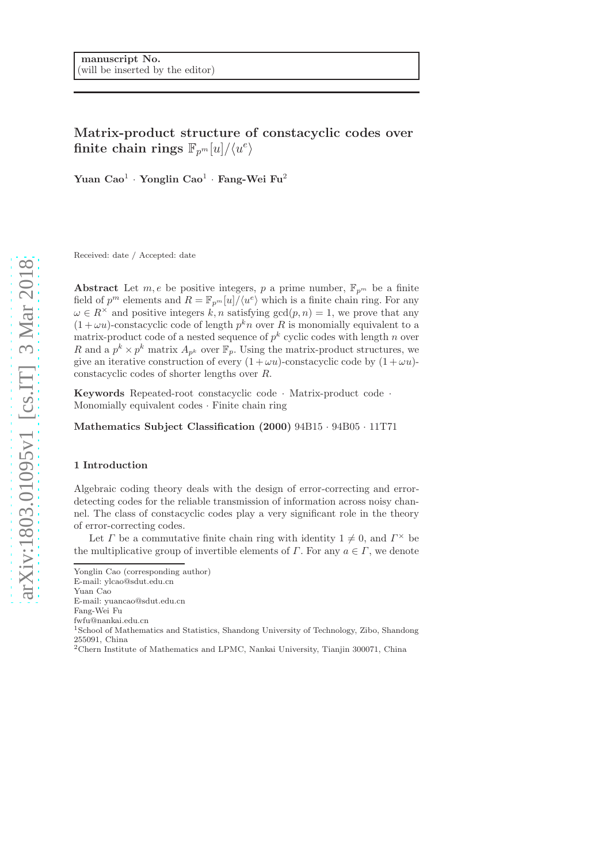# Matrix-product structure of constacyclic codes over  $\text{finite chain rings}\,\,\mathbb{F}_{p^m}[u]/\langle u^e\rangle$

Yuan Cao $^1$  · Yonglin Cao $^1$  · Fang-Wei Fu $^2$ 

Received: date / Accepted: date

Abstract Let  $m, e$  be positive integers, p a prime number,  $\mathbb{F}_{p^m}$  be a finite field of  $p^m$  elements and  $R = \mathbb{F}_{p^m}[u]/\langle u^e \rangle$  which is a finite chain ring. For any  $\omega \in R^{\times}$  and positive integers k, n satisfying  $gcd(p, n) = 1$ , we prove that any  $(1 + \omega u)$ -constacyclic code of length  $p^k n$  over R is monomially equivalent to a matrix-product code of a nested sequence of  $p^k$  cyclic codes with length n over R and a  $p^k \times p^k$  matrix  $A_{p^k}$  over  $\mathbb{F}_p$ . Using the matrix-product structures, we give an iterative construction of every  $(1 + \omega u)$ -constacyclic code by  $(1 + \omega u)$ constacyclic codes of shorter lengths over R.

Keywords Repeated-root constacyclic code · Matrix-product code · Monomially equivalent codes · Finite chain ring

Mathematics Subject Classification (2000) 94B15 · 94B05 · 11T71

### 1 Introduction

Algebraic coding theory deals with the design of error-correcting and errordetecting codes for the reliable transmission of information across noisy channel. The class of constacyclic codes play a very significant role in the theory of error-correcting codes.

Let  $\Gamma$  be a commutative finite chain ring with identity  $1 \neq 0$ , and  $\Gamma^{\times}$  be the multiplicative group of invertible elements of  $\Gamma$ . For any  $a \in \Gamma$ , we denote

Yonglin Cao (corresponding author)

E-mail: ylcao@sdut.edu.cn

Yuan Cao

E-mail: yuancao@sdut.edu.cn

Fang-Wei Fu

fwfu@nankai.edu.cn

<sup>1</sup>School of Mathematics and Statistics, Shandong University of Technology, Zibo, Shandong 255091, China

<sup>2</sup>Chern Institute of Mathematics and LPMC, Nankai University, Tianjin 300071, China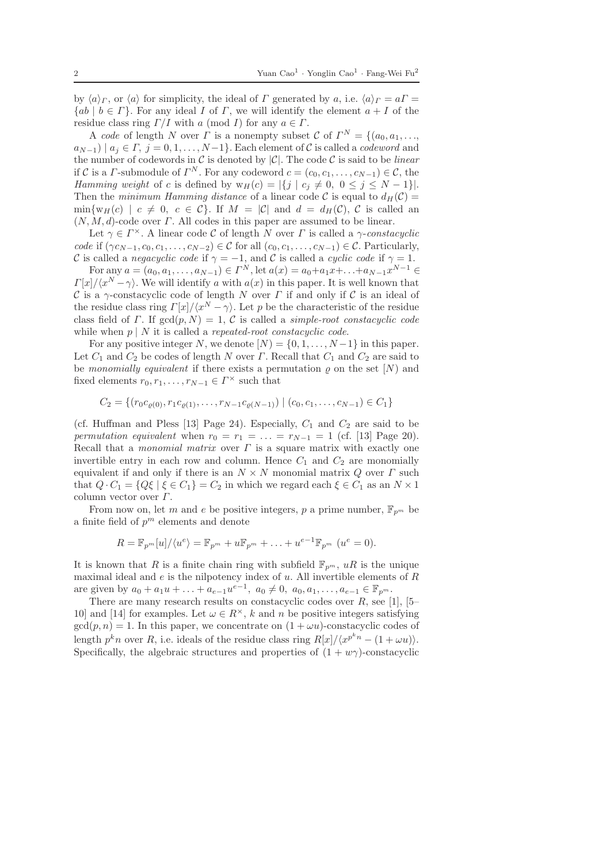by  $\langle a \rangle_{\Gamma}$ , or  $\langle a \rangle$  for simplicity, the ideal of  $\Gamma$  generated by a, i.e.  $\langle a \rangle_{\Gamma} = a\Gamma =$  ${ab \mid b \in \Gamma}$ . For any ideal I of  $\Gamma$ , we will identify the element  $a + I$  of the residue class ring  $\Gamma/I$  with a (mod I) for any  $a \in \Gamma$ .

A code of length N over  $\Gamma$  is a nonempty subset C of  $\Gamma^N = \{(a_0, a_1, \ldots, a_n)\}$  $a_{N-1}$ ) |  $a_j \in \Gamma$ ,  $j = 0, 1, \ldots, N-1$ }. Each element of C is called a *codeword* and the number of codewords in  $\mathcal C$  is denoted by  $|\mathcal C|$ . The code  $\mathcal C$  is said to be *linear* if C is a *Γ*-submodule of  $\Gamma^N$ . For any codeword  $c = (c_0, c_1, \ldots, c_{N-1}) \in \mathcal{C}$ , the Hamming weight of c is defined by  $w_H(c) = |\{j \mid c_j \neq 0, 0 \leq j \leq N-1\}|$ . Then the minimum Hamming distance of a linear code C is equal to  $d_H(\mathcal{C}) =$  $\min\{w_H(c) \mid c \neq 0, c \in C\}$ . If  $M = |\mathcal{C}|$  and  $d = d_H(\mathcal{C})$ , C is called an  $(N, M, d)$ -code over  $\Gamma$ . All codes in this paper are assumed to be linear.

Let  $\gamma \in \Gamma^{\times}$ . A linear code C of length N over  $\Gamma$  is called a  $\gamma$ -constacyclic code if  $(\gamma c_{N-1}, c_0, c_1, \ldots, c_{N-2}) \in \mathcal{C}$  for all  $(c_0, c_1, \ldots, c_{N-1}) \in \mathcal{C}$ . Particularly, C is called a *negacyclic code* if  $\gamma = -1$ , and C is called a *cyclic code* if  $\gamma = 1$ .

For any  $a = (a_0, a_1, \dots, a_{N-1}) \in \Gamma^N$ , let  $a(x) = a_0 + a_1 x + \dots + a_{N-1} x^{N-1} \in \Gamma^N$  $\Gamma[x]/\langle x^N - \gamma \rangle$ . We will identify a with  $a(x)$  in this paper. It is well known that C is a  $\gamma$ -constacyclic code of length N over  $\Gamma$  if and only if C is an ideal of the residue class ring  $\Gamma[x]/\langle x^N - \gamma \rangle$ . Let p be the characteristic of the residue class field of Γ. If  $gcd(p, N) = 1$ , C is called a *simple-root constacyclic code* while when  $p \mid N$  it is called a *repeated-root constacyclic code*.

For any positive integer N, we denote  $[N] = \{0, 1, \ldots, N-1\}$  in this paper. Let  $C_1$  and  $C_2$  be codes of length N over  $\Gamma$ . Recall that  $C_1$  and  $C_2$  are said to be monomially equivalent if there exists a permutation  $\varrho$  on the set  $[N]$  and fixed elements  $r_0, r_1, \ldots, r_{N-1} \in \Gamma^\times$  such that

$$
C_2 = \{ (r_0 c_{\varrho(0)}, r_1 c_{\varrho(1)}, \dots, r_{N-1} c_{\varrho(N-1)}) \mid (c_0, c_1, \dots, c_{N-1}) \in C_1 \}
$$

(cf. Huffman and Pless [13] Page 24). Especially,  $C_1$  and  $C_2$  are said to be permutation equivalent when  $r_0 = r_1 = \ldots = r_{N-1} = 1$  (cf. [13] Page 20). Recall that a *monomial matrix* over  $\Gamma$  is a square matrix with exactly one invertible entry in each row and column. Hence  $C_1$  and  $C_2$  are monomially equivalent if and only if there is an  $N \times N$  monomial matrix Q over  $\Gamma$  such that  $Q \cdot C_1 = \{Q\xi \mid \xi \in C_1\} = C_2$  in which we regard each  $\xi \in C_1$  as an  $N \times 1$ column vector over  $\Gamma$ .

From now on, let m and e be positive integers, p a prime number,  $\mathbb{F}_{p^m}$  be a finite field of  $p^m$  elements and denote

$$
R = \mathbb{F}_{p^m}[u]/\langle u^e \rangle = \mathbb{F}_{p^m} + u \mathbb{F}_{p^m} + \ldots + u^{e-1} \mathbb{F}_{p^m} \ (u^e = 0).
$$

It is known that R is a finite chain ring with subfield  $\mathbb{F}_{p^m}$ , uR is the unique maximal ideal and  $e$  is the nilpotency index of  $u$ . All invertible elements of  $R$ are given by  $a_0 + a_1u + \ldots + a_{e-1}u^{e-1}$ ,  $a_0 \neq 0$ ,  $a_0, a_1, \ldots, a_{e-1} \in \mathbb{F}_{p^m}$ .

There are many research results on constacyclic codes over  $R$ , see [1], [5– 10] and [14] for examples. Let  $\omega \in R^{\times}$ , k and n be positive integers satisfying  $gcd(p, n) = 1$ . In this paper, we concentrate on  $(1 + \omega u)$ -constacyclic codes of length  $p^k n$  over R, i.e. ideals of the residue class ring  $R[x]/\langle x^{p^k n} - (1 + \omega u) \rangle$ . Specifically, the algebraic structures and properties of  $(1 + w\gamma)$ -constacyclic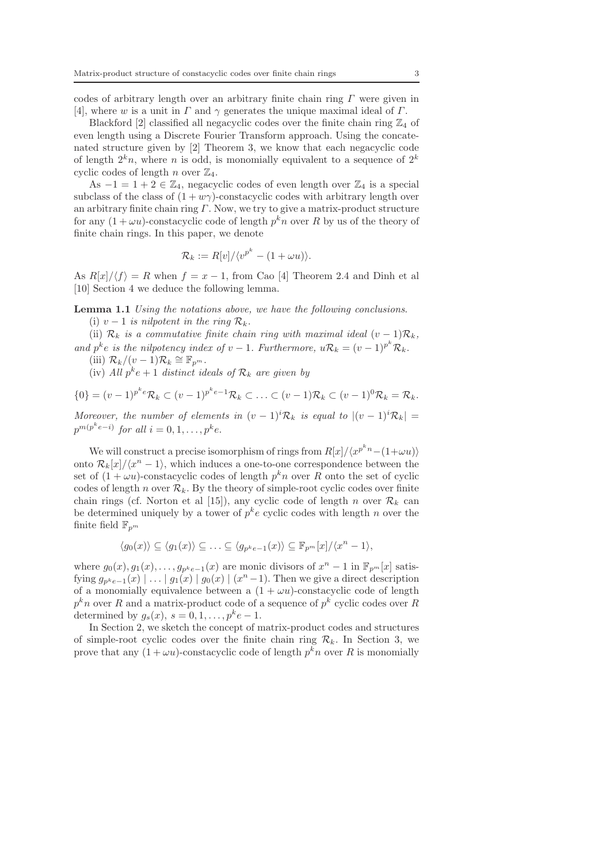codes of arbitrary length over an arbitrary finite chain ring  $\Gamma$  were given in [4], where w is a unit in  $\Gamma$  and  $\gamma$  generates the unique maximal ideal of  $\Gamma$ .

Blackford [2] classified all negacyclic codes over the finite chain ring  $\mathbb{Z}_4$  of even length using a Discrete Fourier Transform approach. Using the concatenated structure given by [2] Theorem 3, we know that each negacyclic code of length  $2^k n$ , where n is odd, is monomially equivalent to a sequence of  $2^k$ cyclic codes of length n over  $\mathbb{Z}_4$ .

As  $-1 = 1 + 2 \in \mathbb{Z}_4$ , negacyclic codes of even length over  $\mathbb{Z}_4$  is a special subclass of the class of  $(1 + w\gamma)$ -constacyclic codes with arbitrary length over an arbitrary finite chain ring  $\Gamma$ . Now, we try to give a matrix-product structure for any  $(1 + \omega u)$ -constacyclic code of length  $p^k n$  over R by us of the theory of finite chain rings. In this paper, we denote

$$
\mathcal{R}_k := R[v]/\langle v^{p^k} - (1 + \omega u) \rangle.
$$

As  $R[x]/\langle f \rangle = R$  when  $f = x - 1$ , from Cao [4] Theorem 2.4 and Dinh et all [10] Section 4 we deduce the following lemma.

Lemma 1.1 Using the notations above, we have the following conclusions. (i)  $v - 1$  is nilpotent in the ring  $\mathcal{R}_k$ .

(ii)  $\mathcal{R}_k$  is a commutative finite chain ring with maximal ideal  $(v-1)\mathcal{R}_k$ , and  $p^k e$  is the nilpotency index of  $v - 1$ . Furthermore,  $u\mathcal{R}_k = (v - 1)^{p^k} \mathcal{R}_k$ .

(iii)  $\mathcal{R}_k/(v-1)\mathcal{R}_k \cong \mathbb{F}_{p^m}$ .

(iv) All  $p^k e + 1$  distinct ideals of  $\mathcal{R}_k$  are given by

 $\{0\} = (v-1)^{p^k e} \mathcal{R}_k \subset (v-1)^{p^k e-1} \mathcal{R}_k \subset \ldots \subset (v-1) \mathcal{R}_k \subset (v-1)^0 \mathcal{R}_k = \mathcal{R}_k.$ 

Moreover, the number of elements in  $(v-1)^i \mathcal{R}_k$  is equal to  $|(v-1)^i \mathcal{R}_k|$  =  $p^{m(p^ke-i)}$  for all  $i=0,1,\ldots,p^ke$ .

We will construct a precise isomorphism of rings from  $R[x]/\langle x^{p^kn}-(1+\omega u)\rangle$ onto  $\mathcal{R}_k[x]/\langle x^n-1\rangle$ , which induces a one-to-one correspondence between the set of  $(1 + \omega u)$ -constacyclic codes of length  $p^k n$  over R onto the set of cyclic codes of length n over  $\mathcal{R}_k$ . By the theory of simple-root cyclic codes over finite chain rings (cf. Norton et al [15]), any cyclic code of length n over  $\mathcal{R}_k$  can be determined uniquely by a tower of  $p^k e$  cyclic codes with length n over the finite field  $\mathbb{F}_{p^m}$ 

$$
\langle g_0(x) \rangle \subseteq \langle g_1(x) \rangle \subseteq \ldots \subseteq \langle g_{p^k e-1}(x) \rangle \subseteq \mathbb{F}_{p^m}[x]/\langle x^n - 1 \rangle,
$$

where  $g_0(x), g_1(x), \ldots, g_{p^k e-1}(x)$  are monic divisors of  $x^n - 1$  in  $\mathbb{F}_{p^m}[x]$  satisfying  $g_{p^k e-1}(x) \mid \ldots \mid g_1(x) \mid g_0(x) \mid (x^n - 1)$ . Then we give a direct description of a monomially equivalence between a  $(1 + \omega u)$ -constacyclic code of length  $p^kn$  over R and a matrix-product code of a sequence of  $p^k$  cyclic codes over R determined by  $g_s(x)$ ,  $s = 0, 1, \ldots, p^k e - 1$ .

In Section 2, we sketch the concept of matrix-product codes and structures of simple-root cyclic codes over the finite chain ring  $\mathcal{R}_k$ . In Section 3, we prove that any  $(1 + \omega u)$ -constacyclic code of length  $p^k n$  over R is monomially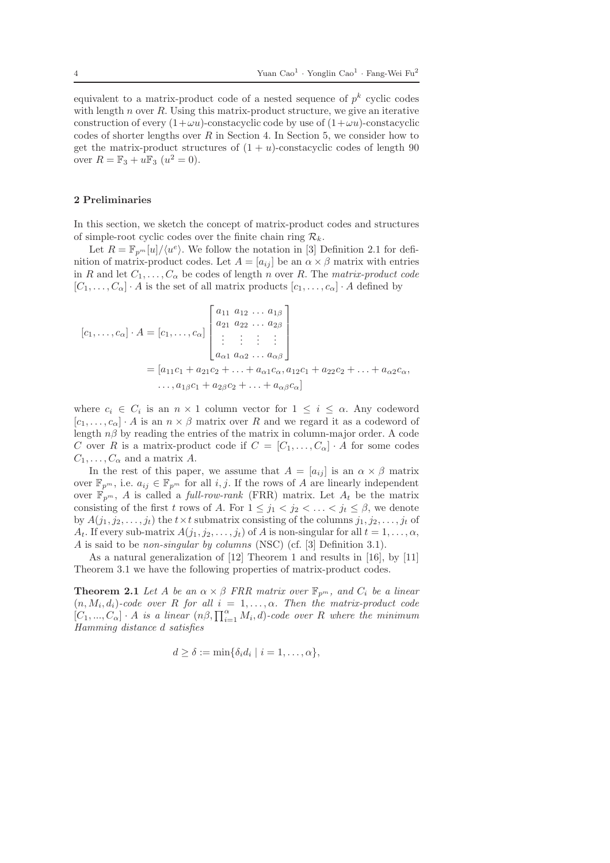equivalent to a matrix-product code of a nested sequence of  $p^k$  cyclic codes with length  $n$  over  $R$ . Using this matrix-product structure, we give an iterative construction of every  $(1+\omega u)$ -constacyclic code by use of  $(1+\omega u)$ -constacyclic codes of shorter lengths over  $R$  in Section 4. In Section 5, we consider how to get the matrix-product structures of  $(1 + u)$ -constacyclic codes of length 90 over  $R = \mathbb{F}_3 + u \mathbb{F}_3 \ (u^2 = 0).$ 

#### 2 Preliminaries

In this section, we sketch the concept of matrix-product codes and structures of simple-root cyclic codes over the finite chain ring  $\mathcal{R}_k$ .

Let  $R = \mathbb{F}_{p^m}[u]/\langle u^e \rangle$ . We follow the notation in [3] Definition 2.1 for definition of matrix-product codes. Let  $A = [a_{ij}]$  be an  $\alpha \times \beta$  matrix with entries in R and let  $C_1, \ldots, C_{\alpha}$  be codes of length n over R. The matrix-product code  $[C_1, \ldots, C_\alpha] \cdot A$  is the set of all matrix products  $[c_1, \ldots, c_\alpha] \cdot A$  defined by

$$
[c_1, ..., c_{\alpha}] \cdot A = [c_1, ..., c_{\alpha}] \begin{bmatrix} a_{11} & a_{12} & \dots & a_{1\beta} \\ a_{21} & a_{22} & \dots & a_{2\beta} \\ \vdots & \vdots & \vdots & \vdots \\ a_{\alpha 1} & a_{\alpha 2} & \dots & a_{\alpha \beta} \end{bmatrix}
$$
  
=  $[a_{11}c_1 + a_{21}c_2 + ... + a_{\alpha 1}c_{\alpha}, a_{12}c_1 + a_{22}c_2 + ... + a_{\alpha 2}c_{\alpha}, a_{13}c_1 + a_{23}c_2 + ... + a_{\alpha \beta}c_{\alpha}]$ 

where  $c_i \in C_i$  is an  $n \times 1$  column vector for  $1 \leq i \leq \alpha$ . Any codeword  $[c_1, \ldots, c_\alpha] \cdot A$  is an  $n \times \beta$  matrix over R and we regard it as a codeword of length  $n\beta$  by reading the entries of the matrix in column-major order. A code C over R is a matrix-product code if  $C = [C_1, \ldots, C_\alpha] \cdot A$  for some codes  $C_1, \ldots, C_\alpha$  and a matrix A.

In the rest of this paper, we assume that  $A = [a_{ij}]$  is an  $\alpha \times \beta$  matrix over  $\mathbb{F}_{p^m}$ , i.e.  $a_{ij} \in \mathbb{F}_{p^m}$  for all *i*, *j*. If the rows of A are linearly independent over  $\mathbb{F}_{p^m}$ , A is called a full-row-rank (FRR) matrix. Let  $A_t$  be the matrix consisting of the first t rows of A. For  $1 \leq j_1 < j_2 < \ldots < j_t \leq \beta$ , we denote by  $A(j_1, j_2, \ldots, j_t)$  the  $t \times t$  submatrix consisting of the columns  $j_1, j_2, \ldots, j_t$  of  $A_t$ . If every sub-matrix  $A(j_1, j_2, \ldots, j_t)$  of A is non-singular for all  $t = 1, \ldots, \alpha$ , A is said to be non-singular by columns (NSC) (cf. [3] Definition 3.1).

As a natural generalization of [12] Theorem 1 and results in [16], by [11] Theorem 3.1 we have the following properties of matrix-product codes.

**Theorem 2.1** Let A be an  $\alpha \times \beta$  FRR matrix over  $\mathbb{F}_{p^m}$ , and  $C_i$  be a linear  $(n, M_i, d_i)$ -code over R for all  $i = 1, \ldots, \alpha$ . Then the matrix-product code  $[C_1, ..., C_{\alpha}] \cdot A$  is a linear  $(n\beta, \prod_{i=1}^{\alpha} M_i, d)$ -code over R where the minimum Hamming distance d satisfies

$$
d \geq \delta := \min\{\delta_i d_i \mid i = 1, \ldots, \alpha\},\
$$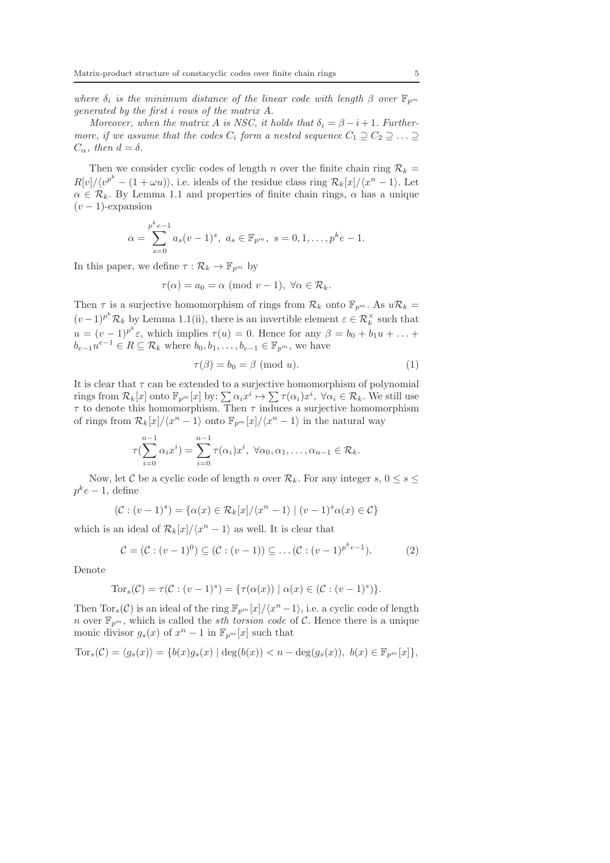where  $\delta_i$  is the minimum distance of the linear code with length  $\beta$  over  $\mathbb{F}_{p^m}$ generated by the first i rows of the matrix A.

Moreover, when the matrix A is NSC, it holds that  $\delta_i = \beta - i + 1$ . Furthermore, if we assume that the codes  $C_i$  form a nested sequence  $C_1 \supseteq C_2 \supseteq \ldots \supseteq$  $C_{\alpha}$ , then  $d = \delta$ .

Then we consider cyclic codes of length n over the finite chain ring  $\mathcal{R}_k =$  $R[v]/\langle v^{p^k} - (1 + \omega u) \rangle$ , i.e. ideals of the residue class ring  $\mathcal{R}_k[x]/\langle x^n - 1 \rangle$ . Let  $\alpha \in \mathcal{R}_k$ . By Lemma 1.1 and properties of finite chain rings,  $\alpha$  has a unique  $(v - 1)$ -expansion

$$
\alpha = \sum_{s=0}^{p^k e - 1} a_s (v - 1)^s, \ a_s \in \mathbb{F}_{p^m}, \ s = 0, 1, \dots, p^k e - 1.
$$

In this paper, we define  $\tau : \mathcal{R}_k \to \mathbb{F}_{p^m}$  by

$$
\tau(\alpha) = a_0 = \alpha \pmod{v-1}, \ \forall \alpha \in \mathcal{R}_k.
$$

Then  $\tau$  is a surjective homomorphism of rings from  $\mathcal{R}_k$  onto  $\mathbb{F}_{p^m}$ . As  $u\mathcal{R}_k =$  $(v-1)^{p^k} \mathcal{R}_k$  by Lemma 1.1(ii), there is an invertible element  $\varepsilon \in \mathcal{R}_k^{\times}$  such that  $u = (v-1)^{p^k} \varepsilon$ , which implies  $\tau(u) = 0$ . Hence for any  $\beta = b_0 + b_1 u + \ldots$  $b_{e-1}u^{e-1} \in R \subseteq \mathcal{R}_k$  where  $b_0, b_1, \ldots, b_{e-1} \in \mathbb{F}_{p^m}$ , we have

$$
\tau(\beta) = b_0 = \beta \pmod{u}.\tag{1}
$$

It is clear that  $\tau$  can be extended to a surjective homomorphism of polynomial rings from  $\mathcal{R}_k[x]$  onto  $\mathbb{F}_{p^m}[x]$  by:  $\sum \alpha_i x^i \mapsto \sum \tau(\alpha_i)x^i$ ,  $\forall \alpha_i \in \mathcal{R}_k$ . We still use  $\tau$  to denote this homomorphism. Then  $\tau$  induces a surjective homomorphism of rings from  $\mathcal{R}_k[x]/\langle x^n-1\rangle$  onto  $\mathbb{F}_{p^m}[x]/\langle x^n-1\rangle$  in the natural way

$$
\tau(\sum_{i=0}^{n-1} \alpha_i x^i) = \sum_{i=0}^{n-1} \tau(\alpha_i) x^i, \ \forall \alpha_0, \alpha_1, \ldots, \alpha_{n-1} \in \mathcal{R}_k.
$$

Now, let C be a cyclic code of length n over  $\mathcal{R}_k$ . For any integer s,  $0 \leq s \leq$  $p^k e-1$ , define

$$
(\mathcal{C}:(v-1)^s) = \{ \alpha(x) \in \mathcal{R}_k[x]/\langle x^n - 1 \rangle \mid (v-1)^s \alpha(x) \in \mathcal{C} \}
$$

which is an ideal of  $\mathcal{R}_k[x]/\langle x^n-1\rangle$  as well. It is clear that

$$
C = (C : (v - 1)^0) \subseteq (C : (v - 1)) \subseteq \dots (C : (v - 1)^{p^k e - 1}).
$$
 (2)

Denote

Tor<sub>s</sub>
$$
(\mathcal{C}) = \tau(\mathcal{C} : (v-1)^s) = {\tau(\alpha(x)) | \alpha(x) \in (\mathcal{C} : (v-1)^s)}.
$$

Then  $\text{Tor}_s(\mathcal{C})$  is an ideal of the ring  $\mathbb{F}_{p^m}[x]/\langle x^n-1\rangle$ , i.e. a cyclic code of length n over  $\mathbb{F}_{p^m}$ , which is called the *sth torsion code* of C. Hence there is a unique monic divisor  $g_s(x)$  of  $x^n - 1$  in  $\mathbb{F}_{p^m}[x]$  such that

$$
\text{Tor}_s(\mathcal{C}) = \langle g_s(x) \rangle = \{ b(x)g_s(x) \mid \deg(b(x)) < n - \deg(g_s(x)), \ b(x) \in \mathbb{F}_{p^m}[x] \},
$$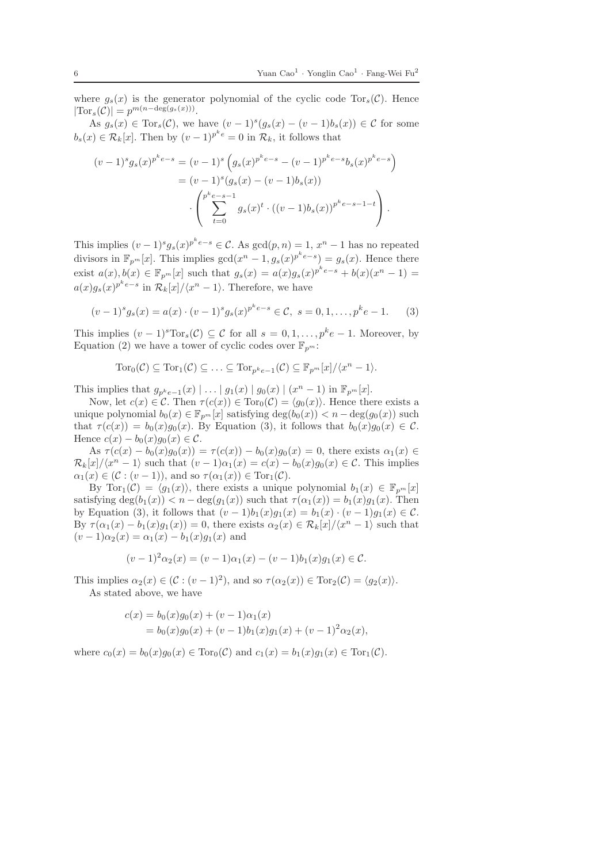where  $g_s(x)$  is the generator polynomial of the cyclic code Tor<sub>s</sub> $(\mathcal{C})$ . Hence  $|\text{Tor}_s(\mathcal{C})| = p^{m(n-\deg(g_s(x)))}.$ 

As  $g_s(x) \in \text{Tor}_s(\mathcal{C})$ , we have  $(v-1)^s (g_s(x) - (v-1)b_s(x)) \in \mathcal{C}$  for some  $b_s(x) \in \mathcal{R}_k[x]$ . Then by  $(v-1)^{p^k e} = 0$  in  $\mathcal{R}_k$ , it follows that

$$
(v-1)^{s} g_{s}(x)^{p^{k}e-s} = (v-1)^{s} \left( g_{s}(x)^{p^{k}e-s} - (v-1)^{p^{k}e-s} b_{s}(x)^{p^{k}e-s} \right)
$$
  

$$
= (v-1)^{s} (g_{s}(x) - (v-1)b_{s}(x))
$$
  

$$
\cdot \left( \sum_{t=0}^{p^{k}e-s-1} g_{s}(x)^{t} \cdot ((v-1)b_{s}(x))^{p^{k}e-s-1-t} \right).
$$

This implies  $(v-1)^s g_s(x)^{p^k e-s} \in \mathcal{C}$ . As  $gcd(p,n) = 1, x^n - 1$  has no repeated divisors in  $\mathbb{F}_{p^m}[x]$ . This implies  $gcd(x^n - 1, g_s(x))^{p^k e - s} = g_s(x)$ . Hence there exist  $a(x), b(x) \in \mathbb{F}_{p^m}[x]$  such that  $g_s(x) = a(x)g_s(x)^{p^k e-s} + b(x)(x^n - 1) =$  $a(x)g_s(x)^{p^ke-s}$  in  $\mathcal{R}_k[x]/\langle x^n-1\rangle$ . Therefore, we have

$$
(v-1)^{s} g_{s}(x) = a(x) \cdot (v-1)^{s} g_{s}(x)^{p^{k} e-s} \in \mathcal{C}, \ s = 0, 1, \dots, p^{k} e-1.
$$
 (3)

This implies  $(v-1)^s \text{Tor}_s(\mathcal{C}) \subseteq \mathcal{C}$  for all  $s = 0, 1, \ldots, p^k e-1$ . Moreover, by Equation (2) we have a tower of cyclic codes over  $\mathbb{F}_{p^m}$ :

$$
\operatorname{Tor}_0(\mathcal{C}) \subseteq \operatorname{Tor}_1(\mathcal{C}) \subseteq \ldots \subseteq \operatorname{Tor}_{p^ke-1}(\mathcal{C}) \subseteq \mathbb{F}_{p^m}[x]/\langle x^n-1 \rangle.
$$

This implies that  $g_{p^k e-1}(x) | \ldots | g_1(x) | g_0(x) | (x^n - 1)$  in  $\mathbb{F}_{p^m}[x]$ .

Now, let  $c(x) \in \mathcal{C}$ . Then  $\tau(c(x)) \in \text{Tor}_0(\mathcal{C}) = \langle g_0(x) \rangle$ . Hence there exists a unique polynomial  $b_0(x) \in \mathbb{F}_{p^m}[x]$  satisfying  $\deg(b_0(x)) < n - \deg(g_0(x))$  such that  $\tau(c(x)) = b_0(x)g_0(x)$ . By Equation (3), it follows that  $b_0(x)g_0(x) \in \mathcal{C}$ . Hence  $c(x) - b_0(x)g_0(x) \in \mathcal{C}$ .

As  $\tau(c(x) - b_0(x)g_0(x)) = \tau(c(x)) - b_0(x)g_0(x) = 0$ , there exists  $\alpha_1(x) \in$  $\mathcal{R}_k[x]/\langle x^n-1\rangle$  such that  $(v-1)\alpha_1(x) = c(x) - b_0(x)g_0(x) \in \mathcal{C}$ . This implies  $\alpha_1(x) \in (\mathcal{C} : (v-1)),$  and so  $\tau(\alpha_1(x)) \in \text{Tor}_1(\mathcal{C}).$ 

By Tor<sub>1</sub>(C) =  $\langle q_1(x)\rangle$ , there exists a unique polynomial  $b_1(x) \in \mathbb{F}_{p^m}[x]$ satisfying  $\deg(b_1(x)) < n - \deg(g_1(x))$  such that  $\tau(\alpha_1(x)) = b_1(x)g_1(x)$ . Then by Equation (3), it follows that  $(v-1)b_1(x)g_1(x) = b_1(x) \cdot (v-1)g_1(x) \in \mathcal{C}$ . By  $\tau(\alpha_1(x) - b_1(x)g_1(x)) = 0$ , there exists  $\alpha_2(x) \in \mathcal{R}_k[x]/\langle x^n - 1 \rangle$  such that  $(v-1)\alpha_2(x) = \alpha_1(x) - b_1(x)g_1(x)$  and

$$
(v-1)^2 \alpha_2(x) = (v-1)\alpha_1(x) - (v-1)b_1(x)g_1(x) \in \mathcal{C}.
$$

This implies  $\alpha_2(x) \in (\mathcal{C} : (v-1)^2)$ , and so  $\tau(\alpha_2(x)) \in \text{Tor}_2(\mathcal{C}) = \langle g_2(x) \rangle$ . As stated above, we have

$$
c(x) = b_0(x)g_0(x) + (v - 1)\alpha_1(x)
$$
  
=  $b_0(x)g_0(x) + (v - 1)b_1(x)g_1(x) + (v - 1)^2\alpha_2(x)$ ,

where  $c_0(x) = b_0(x)g_0(x) \in \text{Tor}_0(\mathcal{C})$  and  $c_1(x) = b_1(x)g_1(x) \in \text{Tor}_1(\mathcal{C})$ .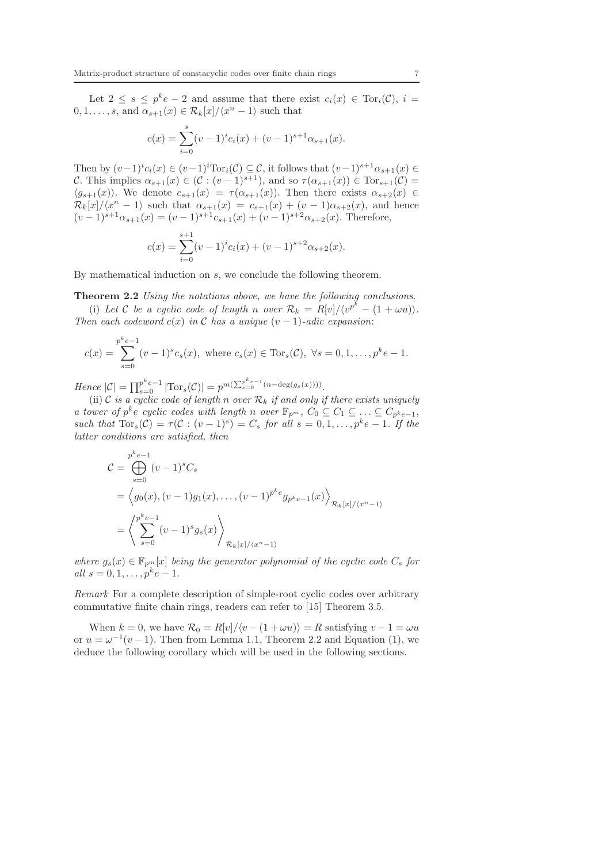Let  $2 \leq s \leq p^k e - 2$  and assume that there exist  $c_i(x) \in \text{Tor}_i(\mathcal{C}), i =$  $0, 1, \ldots, s$ , and  $\alpha_{s+1}(x) \in \mathcal{R}_k[x]/\langle x^n-1 \rangle$  such that

$$
c(x) = \sum_{i=0}^{s} (v-1)^{i} c_i(x) + (v-1)^{s+1} \alpha_{s+1}(x).
$$

Then by  $(v-1)^{i}c_i(x) \in (v-1)^{i} \text{Tor}_i(\mathcal{C}) \subseteq \mathcal{C}$ , it follows that  $(v-1)^{s+1}\alpha_{s+1}(x) \in$ C. This implies  $\alpha_{s+1}(x) \in (\mathcal{C} : (v-1)^{s+1})$ , and so  $\tau(\alpha_{s+1}(x)) \in \text{Tor}_{s+1}(\mathcal{C})$  $\langle g_{s+1}(x)\rangle$ . We denote  $c_{s+1}(x) = \tau(\alpha_{s+1}(x))$ . Then there exists  $\alpha_{s+2}(x) \in$  $\mathcal{R}_k[x]/\langle x^n-1\rangle$  such that  $\alpha_{s+1}(x) = c_{s+1}(x) + (v-1)\alpha_{s+2}(x)$ , and hence  $(v-1)^{s+1}\alpha_{s+1}(x) = (v-1)^{s+1}c_{s+1}(x) + (v-1)^{s+2}\alpha_{s+2}(x)$ . Therefore,

$$
c(x) = \sum_{i=0}^{s+1} (v-1)^{i} c_i(x) + (v-1)^{s+2} \alpha_{s+2}(x).
$$

By mathematical induction on s, we conclude the following theorem.

Theorem 2.2 Using the notations above, we have the following conclusions.

(i) Let C be a cyclic code of length n over  $\mathcal{R}_k = R[v]/\langle v^{p^k} - (1 + \omega u) \rangle$ . Then each codeword  $c(x)$  in C has a unique  $(v-1)$ -adic expansion:

$$
c(x) = \sum_{s=0}^{p^k e - 1} (v - 1)^s c_s(x), \text{ where } c_s(x) \in \text{Tor}_s(\mathcal{C}), \ \forall s = 0, 1, \dots, p^k e - 1.
$$

Hence  $|C| = \prod_{s=0}^{p^k e-1} |\text{Tor}_s(C)| = p^{m(\sum_{s=0}^{p^k e-1} (n-\deg(g_s(x)))))}$ .

(ii) C is a cyclic code of length n over  $\mathcal{R}_k$  if and only if there exists uniquely a tower of  $p^k e$  cyclic codes with length n over  $\mathbb{F}_{p^m}$ ,  $C_0 \subseteq C_1 \subseteq \ldots \subseteq C_{p^k e-1}$ , such that  $\text{Tor}_s(\mathcal{C}) = \tau(\mathcal{C} : (v-1)^s) = C_s$  for all  $s = 0, 1, ..., p^k e-1$ . If the latter conditions are satisfied, then

$$
C = \bigoplus_{s=0}^{p^k e - 1} (v - 1)^s C_s
$$
  
=  $\langle g_0(x), (v - 1)g_1(x), \dots, (v - 1)^{p^k e} g_{p^k e - 1}(x) \rangle_{\mathcal{R}_k[x]/\langle x^n - 1 \rangle}$   
=  $\left\langle \sum_{s=0}^{p^k e - 1} (v - 1)^s g_s(x) \right\rangle_{\mathcal{R}_k[x]/\langle x^n - 1 \rangle}$ 

where  $g_s(x) \in \mathbb{F}_{p^m}[x]$  being the generator polynomial of the cyclic code  $C_s$  for all  $s = 0, 1, ..., p^k e - 1$ .

Remark For a complete description of simple-root cyclic codes over arbitrary commutative finite chain rings, readers can refer to [15] Theorem 3.5.

When  $k = 0$ , we have  $\mathcal{R}_0 = R[v]/\langle v - (1 + \omega u) \rangle = R$  satisfying  $v - 1 = \omega u$ or  $u = \omega^{-1}(v-1)$ . Then from Lemma 1.1, Theorem 2.2 and Equation (1), we deduce the following corollary which will be used in the following sections.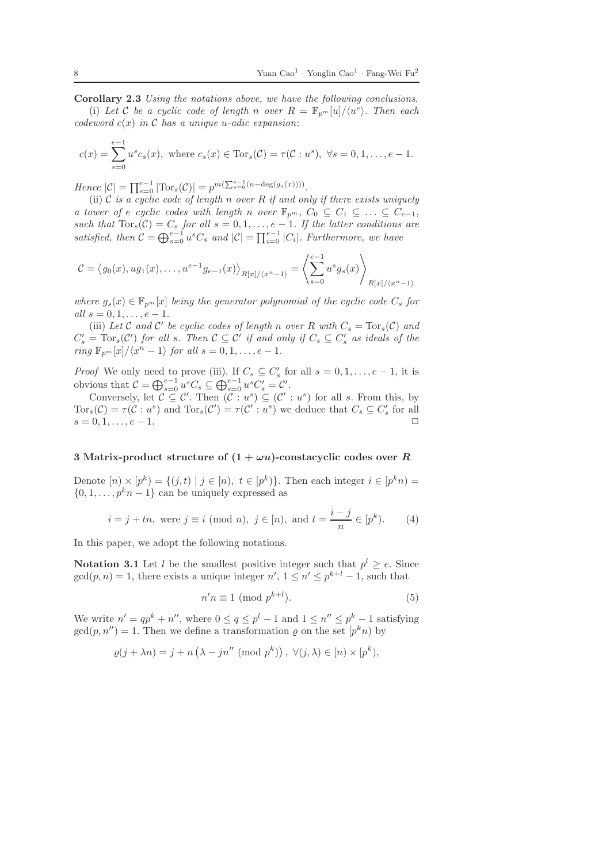Corollary 2.3 Using the notations above, we have the following conclusions. (i) Let C be a cyclic code of length n over  $R = \mathbb{F}_{p^m}[u]/\langle u^e \rangle$ . Then each codeword  $c(x)$  in C has a unique u-adic expansion:

$$
c(x) = \sum_{s=0}^{e-1} u^s c_s(x), \text{ where } c_s(x) \in \text{Tor}_s(\mathcal{C}) = \tau(\mathcal{C}: u^s), \ \forall s = 0, 1, \dots, e-1.
$$

Hence  $|\mathcal{C}| = \prod_{s=0}^{e-1} |\text{Tor}_s(\mathcal{C})| = p^{m(\sum_{s=0}^{e-1} (n-\deg(g_s(x))))}$ .

(ii)  $\mathcal C$  is a cyclic code of length n over R if and only if there exists uniquely a tower of e cyclic codes with length n over  $\mathbb{F}_{p^m}$ ,  $C_0 \subseteq C_1 \subseteq \ldots \subseteq C_{e-1}$ , such that  $\text{Tor}_s(\mathcal{C}) = C_s$  for all  $s = 0, 1, \ldots, e-1$ . If the latter conditions are satisfied, then  $C = \bigoplus_{s=0}^{e-1} u^s C_s$  and  $|C| = \prod_{i=0}^{e-1} |C_i|$ . Furthermore, we have

$$
\mathcal{C} = \langle g_0(x), ug_1(x), \dots, u^{e-1}g_{e-1}(x) \rangle_{R[x]/\langle x^n - 1 \rangle} = \left\langle \sum_{s=0}^{e-1} u^s g_s(x) \right\rangle_{R[x]/\langle x^n - 1 \rangle}
$$

where  $g_s(x) \in \mathbb{F}_{p^m}[x]$  being the generator polynomial of the cyclic code  $C_s$  for all  $s = 0, 1, \ldots, e - 1$ .

(iii) Let C and C' be cyclic codes of length n over R with  $C_s = \text{Tor}_s(C)$  and  $C'_s = \text{Tor}_s(C')$  for all s. Then  $C \subseteq C'$  if and only if  $C_s \subseteq C'_s$  as ideals of the  $ring \mathbb{F}_{p^m}[x]/\langle x^n-1\rangle$  for all  $s = 0, 1, \ldots, e-1$ .

*Proof* We only need to prove (iii). If  $C_s \subseteq C'_s$  for all  $s = 0, 1, \ldots, e-1$ , it is obvious that  $\mathcal{C} = \bigoplus_{s=0}^{e-1} u^s C_s \subseteq \bigoplus_{s=0}^{e-1} u^s C'_s = \mathcal{C}'$ .

Conversely, let  $\mathcal{C} \subseteq \mathcal{C}'$ . Then  $(\mathcal{C} : u^s) \subseteq (\mathcal{C}' : u^s)$  for all s. From this, by  $Tor_s(\mathcal{C}) = \tau(\mathcal{C}:u^s)$  and  $Tor_s(\mathcal{C}') = \tau(\mathcal{C}':u^s)$  we deduce that  $C_s \subseteq C'_s$  for all  $s = 0, 1, \ldots, e-1.$ 

# 3 Matrix-product structure of  $(1 + \omega u)$ -constacyclic codes over R

Denote  $[n] \times [p^k] = \{(j, t) | j \in [n], t \in [p^k] \}$ . Then each integer  $i \in [p^k n]$  $\{0, 1, \ldots, p^k n - 1\}$  can be uniquely expressed as

$$
i = j + tn, \text{ were } j \equiv i \pmod{n}, \ j \in [n), \text{ and } t = \frac{i - j}{n} \in [p^k). \tag{4}
$$

In this paper, we adopt the following notations.

**Notation 3.1** Let l be the smallest positive integer such that  $p^{l} \geq e$ . Since  $gcd(p, n) = 1$ , there exists a unique integer  $n', 1 \leq n' \leq p^{k+l} - 1$ , such that

$$
n'n \equiv 1 \pmod{p^{k+l}}.\tag{5}
$$

We write  $n' = qp^k + n''$ , where  $0 \le q \le p^l - 1$  and  $1 \le n'' \le p^k - 1$  satisfying  $gcd(p, n'') = 1$ . Then we define a transformation  $\varrho$  on the set  $[p^k n]$  by

$$
\varrho(j + \lambda n) = j + n \left(\lambda - jn'' \pmod{p^k}\right), \ \forall (j, \lambda) \in [n) \times [p^k),
$$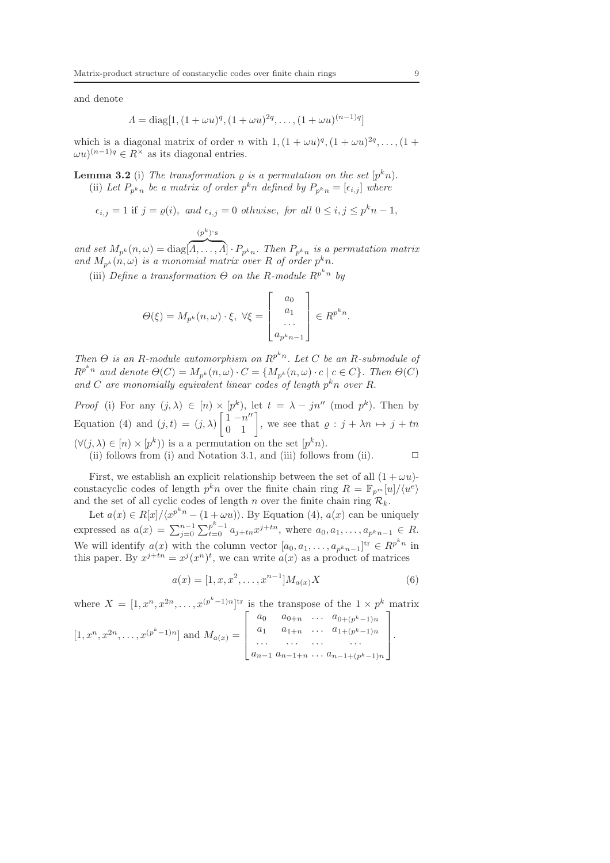and denote

$$
\Lambda = \text{diag}[1, (1 + \omega u)^q, (1 + \omega u)^{2q}, \dots, (1 + \omega u)^{(n-1)q}]
$$

which is a diagonal matrix of order n with  $1, (1 + \omega u)^q, (1 + \omega u)^{2q}, \ldots, (1 +$  $\omega u^{(n-1)q} \in R^{\times}$  as its diagonal entries.

**Lemma 3.2** (i) The transformation  $\rho$  is a permutation on the set  $[p^k n]$ . (ii) Let  $P_{p^k n}$  be a matrix of order  $p^k n$  defined by  $P_{p^k n} = [\epsilon_{i,j}]$  where

$$
\epsilon_{i,j} = 1
$$
 if  $j = \varrho(i)$ , and  $\epsilon_{i,j} = 0$  otherwise, for all  $0 \le i, j \le p^k n - 1$ ,

$$
(p^k)^{\cdot} \mathbf{s}
$$

and set  $M_{p^k}(n,\omega) = \text{diag}[\overbrace{A,\ldots,A}]\cdot P_{p^kn}$ . Then  $P_{p^kn}$  is a permutation matrix and  $M_{p^k}(n,\omega)$  is a monomial matrix over R of order  $p^k n$ .

(iii) Define a transformation  $\Theta$  on the R-module  $\mathbb{R}^{p^k n}$  by

$$
\Theta(\xi) = M_{p^k}(n,\omega) \cdot \xi, \ \forall \xi = \begin{bmatrix} a_0 \\ a_1 \\ \dots \\ a_{p^k n-1} \end{bmatrix} \in R^{p^k n}.
$$

Then  $\Theta$  is an R-module automorphism on  $\mathbb{R}^{p^k n}$ . Let C be an R-submodule of  $R^{p^kn}$  and denote  $\Theta(C) = M_{p^k}(n,\omega) \cdot C = \{M_{p^k}(n,\omega) \cdot c \mid c \in C\}$ . Then  $\Theta(C)$ and C are monomially equivalent linear codes of length  $p^k n$  over R.

*Proof* (i) For any  $(j, \lambda) \in [n] \times [p^k)$ , let  $t = \lambda - jn'' \pmod{p^k}$ . Then by Equation (4) and  $(j, t) = (j, \lambda)$  $\begin{bmatrix} 1-n'' \\ 0 & 1 \end{bmatrix}$ , we see that  $\rho : j + \lambda n \mapsto j + tn$  $(\forall (j, \lambda) \in [n] \times [p^k])$  is a a permutation on the set  $[p^k n]$ .

(ii) follows from (i) and Notation 3.1, and (iii) follows from (ii).  $\Box$ 

First, we establish an explicit relationship between the set of all  $(1 + \omega u)$ constacyclic codes of length  $p^k n$  over the finite chain ring  $R = \mathbb{F}_{p^m}[u]/\langle u^e \rangle$ and the set of all cyclic codes of length n over the finite chain ring  $\mathcal{R}_k$ .

Let  $a(x) \in R[x]/\langle x^{p^k n} - (1 + \omega u) \rangle$ . By Equation (4),  $a(x)$  can be uniquely expressed as  $a(x) = \sum_{j=0}^{n-1} \sum_{t=0}^{p^k-1} a_{j+tn} x^{j+tn}$ , where  $a_0, a_1, \ldots, a_{p^kn-1} \in R$ . We will identify  $a(x)$  with the column vector  $[a_0, a_1, \ldots, a_{p^kn-1}]^{\text{tr}} \in R^{p^kn}$  in this paper. By  $x^{j+tn} = x^j (x^n)^t$ , we can write  $a(x)$  as a product of matrices

$$
a(x) = [1, x, x^2, \dots, x^{n-1}]M_{a(x)}X
$$
\n(6)

where  $X = [1, x^n, x^{2n}, \dots, x^{(p^k-1)n}]^{\text{tr}}$  is the transpose of the  $1 \times p^k$  matrix

$$
[1, x^{n}, x^{2n}, \dots, x^{(p^{k}-1)n}] \text{ and } M_{a(x)} = \begin{bmatrix} a_{0} & a_{0+n} & \cdots & a_{0+(p^{k}-1)n} \\ a_{1} & a_{1+n} & \cdots & a_{1+(p^{k}-1)n} \\ \cdots & \cdots & \cdots & \cdots \\ a_{n-1} & a_{n-1+n} & \cdots & a_{n-1+(p^{k}-1)n} \end{bmatrix}.
$$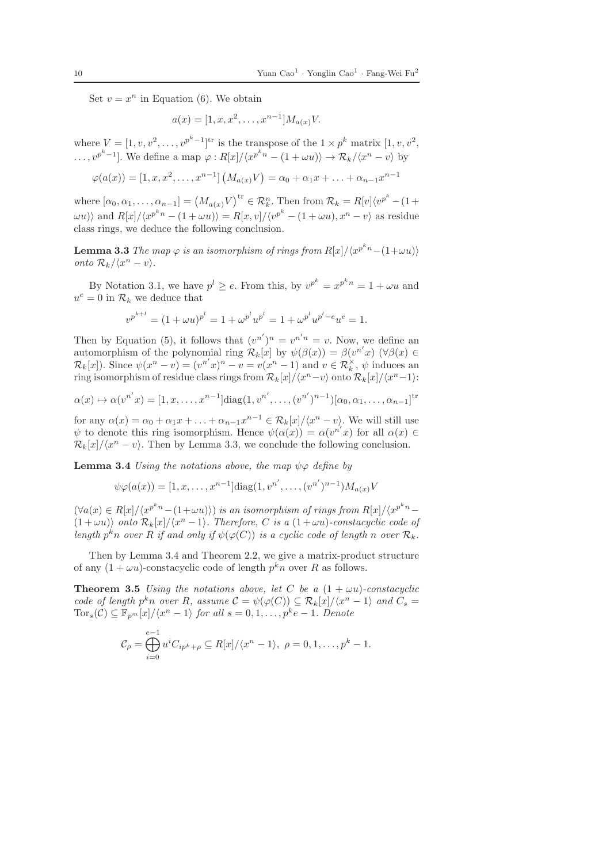Set  $v = x^n$  in Equation (6). We obtain

$$
a(x) = [1, x, x^2, \dots, x^{n-1}]M_{a(x)}V.
$$

where  $V = [1, v, v^2, \dots, v^{p^k-1}]^{\text{tr}}$  is the transpose of the  $1 \times p^k$  matrix  $[1, v, v^2, \dots, v^{p^k-1}]^{\text{tr}}$  $\ldots, v^{p^k-1}$ . We define a map  $\varphi: R[x]/\langle x^{p^k n} - (1 + \omega u) \rangle \to \mathcal{R}_k/\langle x^n - v \rangle$  by

$$
\varphi(a(x)) = [1, x, x^2, \dots, x^{n-1}] (M_{a(x)}V) = \alpha_0 + \alpha_1 x + \dots + \alpha_{n-1} x^{n-1}
$$

where  $[\alpha_0, \alpha_1, \ldots, \alpha_{n-1}] = (M_{a(x)}V)^{\text{tr}} \in \mathcal{R}_k^n$ . Then from  $\mathcal{R}_k = R[v]\langle v^{p^k} - (1 +$  $\langle \omega u \rangle$  and  $R[x]/\langle x^{p^kn} - (1 + \omega u) \rangle = R[x, v]/\langle v^{p^k} - (1 + \omega u), x^n - v \rangle$  as residue class rings, we deduce the following conclusion.

**Lemma 3.3** The map  $\varphi$  is an isomorphism of rings from  $R[x]/\langle x^{p^kn}-(1+\omega u)\rangle$ onto  $\mathcal{R}_k / \langle x^n - v \rangle$ .

By Notation 3.1, we have  $p^l \geq e$ . From this, by  $v^{p^k} = x^{p^k n} = 1 + \omega u$  and  $u^e = 0$  in  $\mathcal{R}_k$  we deduce that

$$
v^{p^{k+l}} = (1 + \omega u)^{p^l} = 1 + \omega^{p^l} u^{p^l} = 1 + \omega^{p^l} u^{p^l - e} u^e = 1.
$$

Then by Equation (5), it follows that  $(v^{n'})^n = v^{n'n} = v$ . Now, we define an automorphism of the polynomial ring  $\mathcal{R}_k[x]$  by  $\psi(\beta(x)) = \beta(v^{n'}x)$   $(\forall \beta(x) \in$  $\mathcal{R}_k[x]$ ). Since  $\psi(x^n - v) = (v^{n'}x)^n - v = v(x^n - 1)$  and  $v \in \mathcal{R}_k^{\times}$ ,  $\psi$  induces an ring isomorphism of residue class rings from  $\mathcal{R}_k[x]/\langle x^n - v \rangle$  onto  $\mathcal{R}_k[x]/\langle x^n - 1 \rangle$ :

$$
\alpha(x) \mapsto \alpha(v^{n'}x) = [1, x, \dots, x^{n-1}]diag(1, v^{n'}, \dots, (v^{n'})^{n-1})[\alpha_0, \alpha_1, \dots, \alpha_{n-1}]^{tr}
$$

for any  $\alpha(x) = \alpha_0 + \alpha_1 x + \ldots + \alpha_{n-1} x^{n-1} \in \mathcal{R}_k[x]/\langle x^n - v \rangle$ . We will still use  $\psi$  to denote this ring isomorphism. Hence  $\psi(\alpha(x)) = \alpha(v^{n'}x)$  for all  $\alpha(x) \in$  $\mathcal{R}_k[x]/\langle x^n - v \rangle$ . Then by Lemma 3.3, we conclude the following conclusion.

**Lemma 3.4** Using the notations above, the map  $\psi \varphi$  define by

$$
\psi \varphi(a(x)) = [1, x, \dots, x^{n-1}] \text{diag}(1, v^{n'}, \dots, (v^{n'})^{n-1}) M_{a(x)} V
$$

 $(\forall a(x) \in R[x]/\langle x^{p^kn}-(1+\omega u) \rangle)$  is an isomorphism of rings from  $R[x]/\langle x^{p^kn}-1 \rangle$  $(1 + \omega u)$  onto  $\mathcal{R}_k[x]/\langle x^n - 1 \rangle$ . Therefore, C is a  $(1 + \omega u)$ -constacyclic code of length  $p^kn$  over R if and only if  $\psi(\varphi(C))$  is a cyclic code of length n over  $\mathcal{R}_k$ .

Then by Lemma 3.4 and Theorem 2.2, we give a matrix-product structure of any  $(1 + \omega u)$ -constacyclic code of length  $p^k n$  over R as follows.

**Theorem 3.5** Using the notations above, let C be a  $(1 + \omega u)$ -constacyclic code of length  $p^k n$  over R, assume  $\mathcal{C} = \psi(\varphi(C)) \subseteq \mathcal{R}_k[x]/\langle x^n - 1 \rangle$  and  $C_s =$  $\text{Tor}_s(\mathcal{C}) \subseteq \mathbb{F}_{p^m}[x]/\langle x^n-1 \rangle$  for all  $s = 0, 1, \ldots, p^k e-1$ . Denote

$$
\mathcal{C}_{\rho} = \bigoplus_{i=0}^{e-1} u^i C_{ip^k + \rho} \subseteq R[x]/\langle x^n - 1 \rangle, \ \rho = 0, 1, \dots, p^k - 1.
$$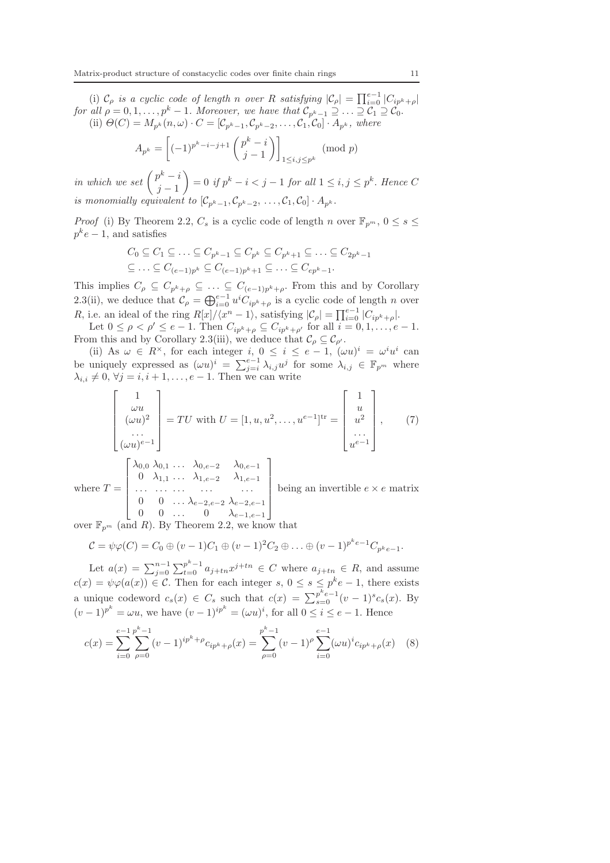(i)  $\mathcal{C}_{\rho}$  is a cyclic code of length n over R satisfying  $|\mathcal{C}_{\rho}| = \prod_{i=0}^{e-1} |C_{ip^k+\rho}|$ for all  $\rho = 0, 1, \ldots, p^k - 1$ . Moreover, we have that  $\mathcal{C}_{p^k-1} \supseteq \ldots \supseteq \mathcal{C}_1 \supseteq \mathcal{C}_0$ . (ii)  $\Theta(C) = M_{p^k}(n,\omega) \cdot C = [\mathcal{C}_{p^k-1}, \mathcal{C}_{p^k-2}, \ldots, \mathcal{C}_1, \mathcal{C}_0] \cdot A_{p^k},$  where

$$
A_{p^k} = \left[(-1)^{p^k - i - j + 1} \binom{p^k - i}{j - 1}\right]_{1 \le i, j \le p^k}
$$
 (mod  $p$ )

in which we set  $\left( \begin{array}{c} p^k - i \\ j \end{array} \right)$  $j-1$  $\setminus$  $= 0$  if  $p^k - i < j - 1$  for all  $1 \leq i, j \leq p^k$ . Hence C is monomially equivalent to  $[\mathcal{C}_{p^k-1}, \mathcal{C}_{p^k-2}, \ldots, \mathcal{C}_1, \mathcal{C}_0] \cdot A_{p^k}$ .

*Proof* (i) By Theorem 2.2,  $C_s$  is a cyclic code of length n over  $\mathbb{F}_{p^m}$ ,  $0 \leq s \leq$  $p^k e - 1$ , and satisfies

$$
C_0 \subseteq C_1 \subseteq \ldots \subseteq C_{p^k-1} \subseteq C_{p^k} \subseteq C_{p^k+1} \subseteq \ldots \subseteq C_{2p^k-1}
$$
  

$$
\subseteq \ldots \subseteq C_{(e-1)p^k} \subseteq C_{(e-1)p^k+1} \subseteq \ldots \subseteq C_{ep^k-1}.
$$

This implies  $C_{\rho} \subseteq C_{p^k+\rho} \subseteq \ldots \subseteq C_{(e-1)p^k+\rho}$ . From this and by Corollary 2.3(ii), we deduce that  $\mathcal{C}_{\rho} = \bigoplus_{i=0}^{e-1} u^i C_{ip^k+\rho}$  is a cyclic code of length n over R, i.e. an ideal of the ring  $R[x]/\langle x^n-1 \rangle$ , satisfying  $|\mathcal{C}_{\rho}| = \prod_{i=0}^{e-1} |C_{ip^k+\rho}|$ .

Let  $0 \leq \rho < \rho' \leq e-1$ . Then  $C_{ip^k+\rho} \subseteq C_{ip^k+\rho'}$  for all  $i = 0, 1, \ldots, e-1$ . From this and by Corollary 2.3(iii), we deduce that  $\mathcal{C}_{\rho} \subseteq \mathcal{C}_{\rho'}$ .

(ii) As  $\omega \in R^{\times}$ , for each integer i,  $0 \leq i \leq e-1$ ,  $(\omega u)^{i} = \omega^{i} u^{i}$  can be uniquely expressed as  $(\omega u)^i = \sum_{j=i}^{e-1} \lambda_{i,j} u^j$  for some  $\lambda_{i,j} \in \mathbb{F}_{p^m}$  where  $\lambda_{i,i} \neq 0, \forall j = i, i + 1, \ldots, e - 1$ . Then we can write

$$
\begin{bmatrix} 1 \\ \omega u \\ (\omega u)^2 \\ \dots \\ (\omega u)^{e-1} \end{bmatrix} = TU \text{ with } U = [1, u, u^2, \dots, u^{e-1}]^{\text{tr}} = \begin{bmatrix} 1 \\ u \\ u^2 \\ \dots \\ u^{e-1} \end{bmatrix}, \qquad (7)
$$

where  $T =$  $\sqrt{ }$   $\lambda_{0,0}$   $\lambda_{0,1}$  ...  $\lambda_{0,e-2}$   $\lambda_{0,e-1}$ 0  $\lambda_{1,1}$  ...  $\lambda_{1,e-2}$   $\lambda_{1,e-1}$ . . . . . . . . . . . . . . . 0 0 ...  $\lambda_{e-2,e-2} \lambda_{e-2,e-1}$ 0 0 ... 0  $\lambda_{e-1,e-1}$ 1  $\begin{array}{c} \begin{array}{c} \begin{array}{c} \begin{array}{c} \end{array} \\ \end{array} \end{array} \end{array}$ being an invertible  $e \times e$  matrix

over  $\mathbb{F}_{p^m}$  (and R). By Theorem 2.2, we know that

$$
C = \psi \varphi(C) = C_0 \oplus (v - 1)C_1 \oplus (v - 1)^2 C_2 \oplus \ldots \oplus (v - 1)^{p^k e - 1} C_{p^k e - 1}.
$$

Let  $a(x) = \sum_{j=0}^{n-1} \sum_{t=0}^{p^k-1} a_{j+tn} x^{j+tn} \in C$  where  $a_{j+tn} \in R$ , and assume  $c(x) = \psi \varphi(a(x)) \in \mathcal{C}$ . Then for each integer  $s, 0 \leq s \leq p^k e - 1$ , there exists a unique codeword  $c_s(x) \in C_s$  such that  $c(x) = \sum_{s=0}^{p^k e-1} (v-1)^s c_s(x)$ . By  $(v-1)^{p^k} = \omega u$ , we have  $(v-1)^{ip^k} = (\omega u)^i$ , for all  $0 \le i \le e-1$ . Hence

$$
c(x) = \sum_{i=0}^{e-1} \sum_{\rho=0}^{p^k-1} (v-1)^{ip^k + \rho} c_{ip^k + \rho}(x) = \sum_{\rho=0}^{p^k-1} (v-1)^{\rho} \sum_{i=0}^{e-1} (\omega u)^i c_{ip^k + \rho}(x) \quad (8)
$$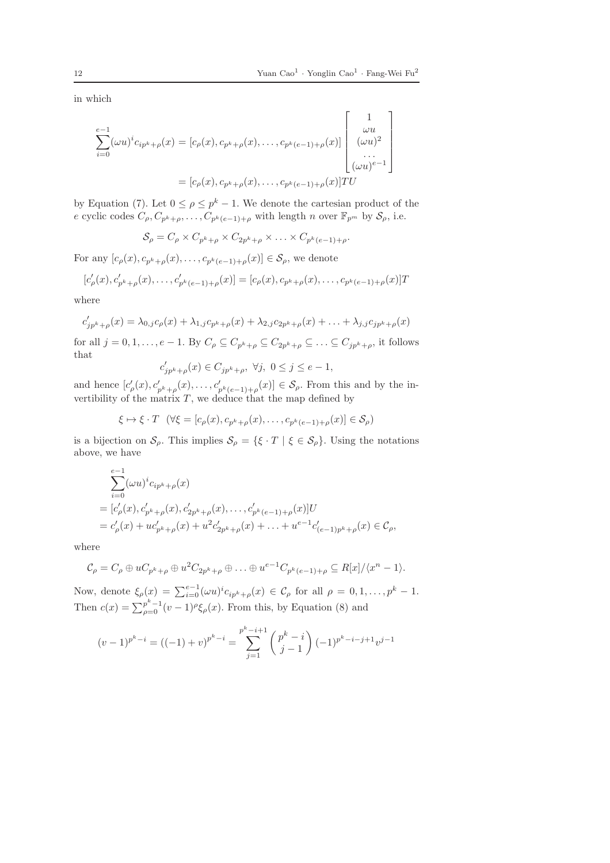in which

$$
\sum_{i=0}^{e-1} (\omega u)^{i} c_{ip^{k}+\rho}(x) = [c_{\rho}(x), c_{p^{k}+\rho}(x), \dots, c_{p^{k}(e-1)+\rho}(x)] \begin{bmatrix} 1 \\ \omega u \\ (\omega u)^{2} \\ \dots \\ (\omega u)^{e-1} \end{bmatrix}
$$

$$
= [c_{\rho}(x), c_{p^{k}+\rho}(x), \dots, c_{p^{k}(e-1)+\rho}(x)]TU
$$

by Equation (7). Let  $0 \le \rho \le p^k - 1$ . We denote the cartesian product of the e cyclic codes  $C_p, C_{p^k+p}, \ldots, C_{p^k(e-1)+p}$  with length n over  $\mathbb{F}_{p^m}$  by  $S_p$ , i.e.

$$
\mathcal{S}_{\rho} = C_{\rho} \times C_{p^k + \rho} \times C_{2p^k + \rho} \times \ldots \times C_{p^k(e-1) + \rho}.
$$

For any  $[c_{\rho}(x), c_{p^k+\rho}(x), \ldots, c_{p^k(e-1)+\rho}(x)] \in \mathcal{S}_{\rho}$ , we denote

$$
[c'_{\rho}(x), c'_{p^k+\rho}(x), \dots, c'_{p^k(e-1)+\rho}(x)] = [c_{\rho}(x), c_{p^k+\rho}(x), \dots, c_{p^k(e-1)+\rho}(x)]T
$$

where

$$
c'_{jp^k+\rho}(x) = \lambda_{0,j}c_{\rho}(x) + \lambda_{1,j}c_{p^k+\rho}(x) + \lambda_{2,j}c_{2p^k+\rho}(x) + \ldots + \lambda_{j,j}c_{jp^k+\rho}(x)
$$

for all  $j = 0, 1, \ldots, e-1$ . By  $C_{\rho} \subseteq C_{p^k+\rho} \subseteq C_{2p^k+\rho} \subseteq \ldots \subseteq C_{jp^k+\rho}$ , it follows that

$$
c'_{jp^k+\rho}(x)\in C_{jp^k+\rho},\ \forall j,\ 0\leq j\leq e-1,
$$

and hence  $[c'_{\rho}(x), c'_{p^k+\rho}(x), \ldots, c'_{p^k(e-1)+\rho}(x)] \in \mathcal{S}_{\rho}$ . From this and by the invertibility of the matrix  $T$ , we deduce that the map defined by

$$
\xi \mapsto \xi \cdot T \quad (\forall \xi = [c_{\rho}(x), c_{p^k + \rho}(x), \dots, c_{p^k(e-1) + \rho}(x)] \in \mathcal{S}_{\rho})
$$

is a bijection on  $\mathcal{S}_{\rho}$ . This implies  $\mathcal{S}_{\rho} = {\{\xi \cdot T \mid \xi \in \mathcal{S}_{\rho}\}}$ . Using the notations above, we have

$$
\begin{aligned} &\sum_{i=0}^{e-1}(\omega u)^ic_{ip^k+\rho}(x)\\ &= [c'_{\rho}(x),c'_{p^k+\rho}(x),c'_{2p^k+\rho}(x),\ldots,c'_{p^k(e-1)+\rho}(x)]U\\ &=c'_{\rho}(x)+uc'_{p^k+\rho}(x)+u^2c'_{2p^k+\rho}(x)+\ldots+u^{e-1}c'_{(e-1)p^k+\rho}(x)\in\mathcal{C}_{\rho}, \end{aligned}
$$

where

 $\overline{a}$ 

= c

$$
\mathcal{C}_{\rho} = C_{\rho} \oplus uC_{p^k+\rho} \oplus u^2C_{2p^k+\rho} \oplus \ldots \oplus u^{e-1}C_{p^k(e-1)+\rho} \subseteq R[x]/\langle x^n-1 \rangle.
$$

Now, denote  $\xi_{\rho}(x) = \sum_{i=0}^{e-1} (\omega u)^{i} c_{ip^k+\rho}(x) \in \mathcal{C}_{\rho}$  for all  $\rho = 0, 1, \ldots, p^k - 1$ . Then  $c(x) = \sum_{\rho=0}^{p^k-1} (v-1)^{\rho} \xi_{\rho}(x)$ . From this, by Equation (8) and

$$
(v-1)^{p^k-i} = ((-1)+v)^{p^k-i} = \sum_{j=1}^{p^k-i+1} {p^k-i \choose j-1} (-1)^{p^k-i-j+1} v^{j-1}
$$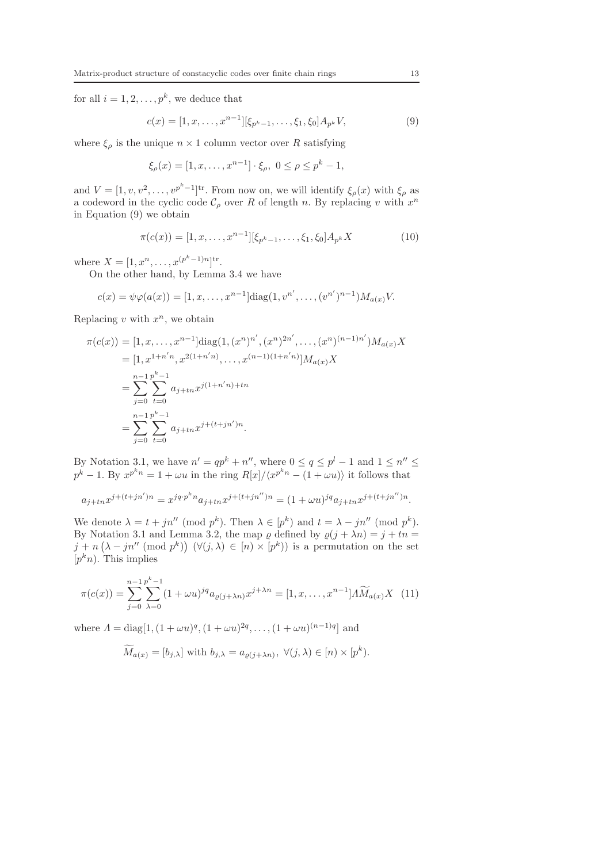for all  $i = 1, 2, \ldots, p^k$ , we deduce that

$$
c(x) = [1, x, \dots, x^{n-1}][\xi_{p^k - 1}, \dots, \xi_1, \xi_0] A_{p^k} V, \tag{9}
$$

where  $\xi_{\rho}$  is the unique  $n \times 1$  column vector over R satisfying

$$
\xi_{\rho}(x) = [1, x, \dots, x^{n-1}] \cdot \xi_{\rho}, \ 0 \le \rho \le p^k - 1,
$$

and  $V = [1, v, v^2, \dots, v^{p^k-1}]^{\text{tr}}$ . From now on, we will identify  $\xi_\rho(x)$  with  $\xi_\rho$  as a codeword in the cyclic code  $\mathcal{C}_{\rho}$  over R of length n. By replacing v with  $x^n$ in Equation (9) we obtain

$$
\pi(c(x)) = [1, x, \dots, x^{n-1}][\xi_{p^k - 1}, \dots, \xi_1, \xi_0] A_{p^k} X
$$
\n(10)

where  $X = [1, x^n, \dots, x^{(p^k-1)n}]^{\text{tr}}$ .

On the other hand, by Lemma 3.4 we have

$$
c(x) = \psi \varphi(a(x)) = [1, x, \dots, x^{n-1}] \text{diag}(1, v^{n'}, \dots, (v^{n'})^{n-1}) M_{a(x)} V.
$$

Replacing  $v$  with  $x^n$ , we obtain

$$
\pi(c(x)) = [1, x, \dots, x^{n-1}] \text{diag}(1, (x^n)^{n'}, (x^n)^{2n'}, \dots, (x^n)^{(n-1)n'}) M_{a(x)} X
$$
  
\n
$$
= [1, x^{1+n'n}, x^{2(1+n'n)}, \dots, x^{(n-1)(1+n'n)}] M_{a(x)} X
$$
  
\n
$$
= \sum_{j=0}^{n-1} \sum_{t=0}^{p^k - 1} a_{j+tn} x^{j(1+n'n)+tn}
$$
  
\n
$$
= \sum_{j=0}^{n-1} \sum_{t=0}^{p^k - 1} a_{j+tn} x^{j+(t+jn')n}.
$$

By Notation 3.1, we have  $n' = qp^k + n''$ , where  $0 \le q \le p^l - 1$  and  $1 \le n'' \le$  $p^k - 1$ . By  $x^{p^k n} = 1 + \omega u$  in the ring  $R[x]/\langle x^{p^k n} - (1 + \omega u) \rangle$  it follows that

$$
a_{j+tn}x^{j+(t+jn')n} = x^{jq \cdot p^kn}a_{j+tn}x^{j+(t+jn'')n} = (1+\omega u)^{jq}a_{j+tn}x^{j+(t+jn'')n}.
$$

We denote  $\lambda = t + jn'' \pmod{p^k}$ . Then  $\lambda \in [p^k]$  and  $t = \lambda - jn'' \pmod{p^k}$ . By Notation 3.1 and Lemma 3.2, the map  $\varrho$  defined by  $\varrho(j + \lambda n) = j + tn$  $j + n\left(\lambda - jn'' \pmod{p^k}\right)$   $(\forall (j, \lambda) \in [n] \times [p^k])$  is a permutation on the set  $[p^k n]$ . This implies

$$
\pi(c(x)) = \sum_{j=0}^{n-1} \sum_{\lambda=0}^{p^k-1} (1 + \omega u)^{jq} a_{\varrho(j+\lambda n)} x^{j+\lambda n} = [1, x, \dots, x^{n-1}] \Lambda \widetilde{M}_{a(x)} X \tag{11}
$$

where  $\Lambda = \text{diag}[1, (1 + \omega u)^q, (1 + \omega u)^{2q}, \dots, (1 + \omega u)^{(n-1)q}]$  and

$$
\widetilde{M}_{a(x)} = [b_{j,\lambda}] \text{ with } b_{j,\lambda} = a_{\varrho(j+\lambda n)}, \ \forall (j,\lambda) \in [n) \times [p^k).
$$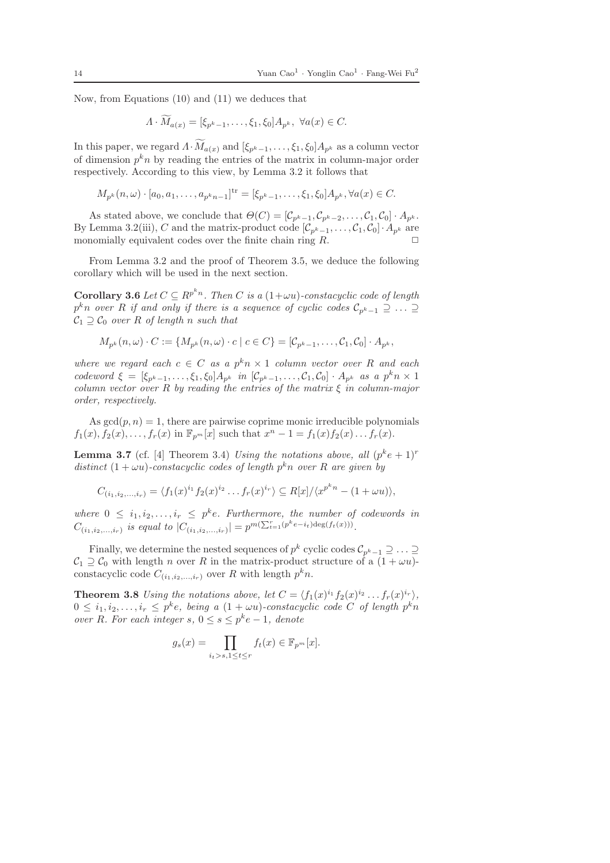Now, from Equations (10) and (11) we deduces that

$$
\Lambda \cdot M_{a(x)} = [\xi_{p^k - 1}, \dots, \xi_1, \xi_0] A_{p^k}, \ \forall a(x) \in C.
$$

In this paper, we regard  $\Lambda \cdot M_{a(x)}$  and  $[\xi_{p^k-1}, \ldots, \xi_1, \xi_0]A_{p^k}$  as a column vector of dimension  $p^k n$  by reading the entries of the matrix in column-major order respectively. According to this view, by Lemma 3.2 it follows that

$$
M_{p^k}(n,\omega) \cdot [a_0, a_1, \dots, a_{p^kn-1}]^{tr} = [\xi_{p^k-1}, \dots, \xi_1, \xi_0] A_{p^k}, \forall a(x) \in C.
$$

As stated above, we conclude that  $\Theta(C) = [\mathcal{C}_{p^k-1}, \mathcal{C}_{p^k-2}, \ldots, \mathcal{C}_1, \mathcal{C}_0] \cdot A_{p^k}$ . By Lemma 3.2(iii), C and the matrix-product code  $[\mathcal{C}_{p^k-1}, \ldots, \mathcal{C}_1, \mathcal{C}_0] \cdot A_{p^k}$  are monomially equivalent codes over the finite chain ring  $R$ .

From Lemma 3.2 and the proof of Theorem 3.5, we deduce the following corollary which will be used in the next section.

**Corollary 3.6** Let  $C \subseteq R^{p^kn}$ . Then C is a  $(1+\omega u)$ -constacyclic code of length  $p^kn$  over R if and only if there is a sequence of cyclic codes  $\mathcal{C}_{p^k-1} \supseteq \ldots \supseteq$  $C_1 \supseteq C_0$  over R of length n such that

$$
M_{p^k}(n,\omega)\cdot C:=\{M_{p^k}(n,\omega)\cdot c\mid c\in C\}=[\mathcal{C}_{p^k-1},\ldots,\mathcal{C}_1,\mathcal{C}_0]\cdot A_{p^k},
$$

where we regard each  $c \in C$  as a  $p^k n \times 1$  column vector over R and each codeword  $\xi = [\xi_{p^k-1}, \ldots, \xi_1, \xi_0] A_{p^k}$  in  $[\mathcal{C}_{p^k-1}, \ldots, \mathcal{C}_1, \mathcal{C}_0] \cdot A_{p^k}$  as a  $p^k n \times 1$ column vector over R by reading the entries of the matrix  $\xi$  in column-major order, respectively.

As  $gcd(p, n) = 1$ , there are pairwise coprime monic irreducible polynomials  $f_1(x), \tilde{f}_2(x), \ldots, f_r(x)$  in  $\mathbb{F}_{p^m}[x]$  such that  $x^n - 1 = f_1(x) f_2(x) \ldots f_r(x)$ .

**Lemma 3.7** (cf. [4] Theorem 3.4) Using the notations above, all  $(p^k e + 1)^r$ distinct  $(1 + \omega u)$ -constacyclic codes of length  $p^k n$  over R are given by

$$
C_{(i_1,i_2,...,i_r)} = \langle f_1(x)^{i_1} f_2(x)^{i_2} \dots f_r(x)^{i_r} \rangle \subseteq R[x] / \langle x^{p^k n} - (1 + \omega u) \rangle,
$$

where  $0 \leq i_1, i_2, \ldots, i_r \leq p^k e$ . Furthermore, the number of codewords in  $C_{(i_1,i_2,...,i_r)}$  is equal to  $|C_{(i_1,i_2,...,i_r)}| = p^{m(\sum_{t=1}^r (p^k e - i_t) \deg(f_t(x)))}$ .

Finally, we determine the nested sequences of  $p^k$  cyclic codes  $\mathcal{C}_{p^k-1} \supseteq \ldots \supseteq$  $C_1 \supseteq C_0$  with length n over R in the matrix-product structure of a  $(1 + \omega u)$ constacyclic code  $C_{(i_1,i_2,...,i_r)}$  over R with length  $p^k n$ .

**Theorem 3.8** Using the notations above, let  $C = \langle f_1(x)^{i_1} f_2(x)^{i_2} \dots f_r(x)^{i_r} \rangle$ ,  $0 \leq i_1, i_2, \ldots, i_r \leq p^k e$ , being a  $(1 + \omega u)$ -constacyclic code C of length  $p^k n$ over R. For each integer  $s, 0 \leq s \leq p^k e - 1$ , denote

$$
g_s(x) = \prod_{i_t > s, 1 \le t \le r} f_t(x) \in \mathbb{F}_{p^m}[x].
$$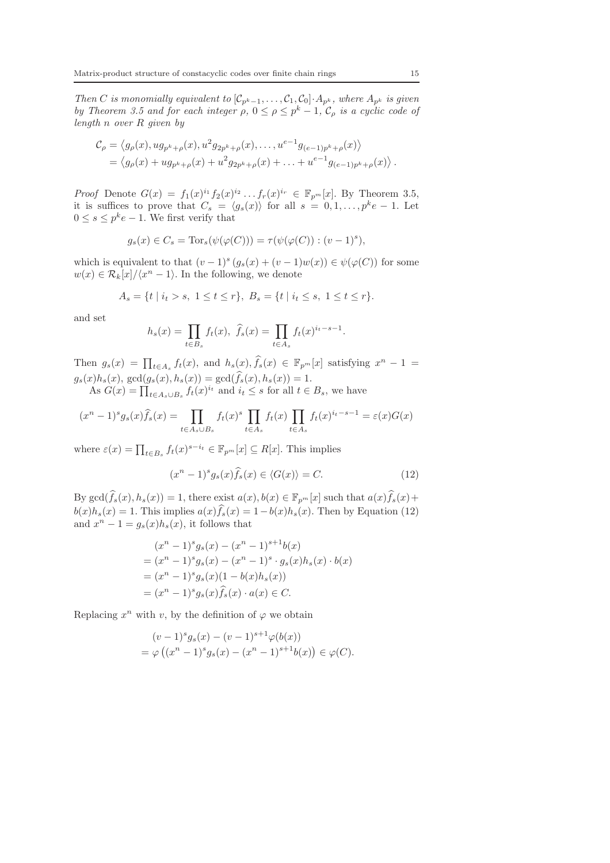Then C is monomially equivalent to  $[\mathcal{C}_{p^k-1}, \ldots, \mathcal{C}_1, \mathcal{C}_0] \cdot A_{p^k}$ , where  $A_{p^k}$  is given by Theorem 3.5 and for each integer  $\rho$ ,  $0 \le \rho \le p^k - 1$ ,  $\mathcal{C}_{\rho}$  is a cyclic code of length n over R given by

$$
C_{\rho} = \langle g_{\rho}(x), ug_{p^k + \rho}(x), u^2 g_{2p^k + \rho}(x), \dots, u^{e-1} g_{(e-1)p^k + \rho}(x) \rangle
$$
  
=  $\langle g_{\rho}(x) + ug_{p^k + \rho}(x) + u^2 g_{2p^k + \rho}(x) + \dots + u^{e-1} g_{(e-1)p^k + \rho}(x) \rangle$ .

*Proof* Denote  $G(x) = f_1(x)^{i_1} f_2(x)^{i_2} \dots f_r(x)^{i_r} \in \mathbb{F}_{p^m}[x]$ . By Theorem 3.5, it is suffices to prove that  $C_s = \langle g_s(x) \rangle$  for all  $s = 0, 1, \ldots, p^k e - 1$ . Let  $0 \leq s \leq p^k e - 1$ . We first verify that

$$
g_s(x) \in C_s = \text{Tor}_s(\psi(\varphi(C))) = \tau(\psi(\varphi(C)) : (v-1)^s),
$$

which is equivalent to that  $(v-1)^s (g_s(x) + (v-1)w(x)) \in \psi(\varphi(C))$  for some  $w(x) \in \mathcal{R}_k[x]/\langle x^n - 1 \rangle$ . In the following, we denote

$$
A_s = \{ t \mid i_t > s, \ 1 \le t \le r \}, \ B_s = \{ t \mid i_t \le s, \ 1 \le t \le r \}.
$$

and set

$$
h_s(x) = \prod_{t \in B_s} f_t(x), \ \hat{f}_s(x) = \prod_{t \in A_s} f_t(x)^{i_t - s - 1}.
$$

Then  $g_s(x) = \prod_{t \in A_s} f_t(x)$ , and  $h_s(x)$ ,  $\widehat{f}_s(x) \in \mathbb{F}_{p^m}[x]$  satisfying  $x^n - 1 =$  $g_s(x)h_s(x)$ ,  $gcd(g_s(x), h_s(x)) = gcd(\widehat{f}_s(x), h_s(x)) = 1$ .

As  $G(x) = \prod_{t \in A_s \cup B_s} f_t(x)^{i_t}$  and  $i_t \leq s$  for all  $t \in B_s$ , we have

$$
(x^{n} - 1)^{s} g_{s}(x) \hat{f}_{s}(x) = \prod_{t \in A_{s} \cup B_{s}} f_{t}(x)^{s} \prod_{t \in A_{s}} f_{t}(x) \prod_{t \in A_{s}} f_{t}(x)^{i_{t} - s - 1} = \varepsilon(x) G(x)
$$

where  $\varepsilon(x) = \prod_{t \in B_s} f_t(x)^{s-i_t} \in \mathbb{F}_{p^m}[x] \subseteq R[x]$ . This implies

$$
(xn - 1)s gs(x) \widehat{f}_s(x) \in \langle G(x) \rangle = C.
$$
 (12)

By  $\gcd(\widehat{f}_s(x), h_s(x)) = 1$ , there exist  $a(x), b(x) \in \mathbb{F}_{p^m}[x]$  such that  $a(x)\widehat{f}_s(x)$ +  $b(x)h_s(x) = 1$ . This implies  $a(x)\hat{f}_s(x) = 1-b(x)h_s(x)$ . Then by Equation (12) and  $x^n - 1 = g_s(x)h_s(x)$ , it follows that

$$
(x^{n} - 1)^{s} g_{s}(x) - (x^{n} - 1)^{s+1} b(x)
$$
  
=  $(x^{n} - 1)^{s} g_{s}(x) - (x^{n} - 1)^{s} \cdot g_{s}(x) h_{s}(x) \cdot b(x)$   
=  $(x^{n} - 1)^{s} g_{s}(x) (1 - b(x) h_{s}(x))$   
=  $(x^{n} - 1)^{s} g_{s}(x) \hat{f}_{s}(x) \cdot a(x) \in C.$ 

Replacing  $x^n$  with v, by the definition of  $\varphi$  we obtain

$$
(v-1)^{s} g_{s}(x) - (v-1)^{s+1} \varphi(b(x))
$$
  
=  $\varphi ((x^{n} - 1)^{s} g_{s}(x) - (x^{n} - 1)^{s+1} b(x)) \in \varphi(C).$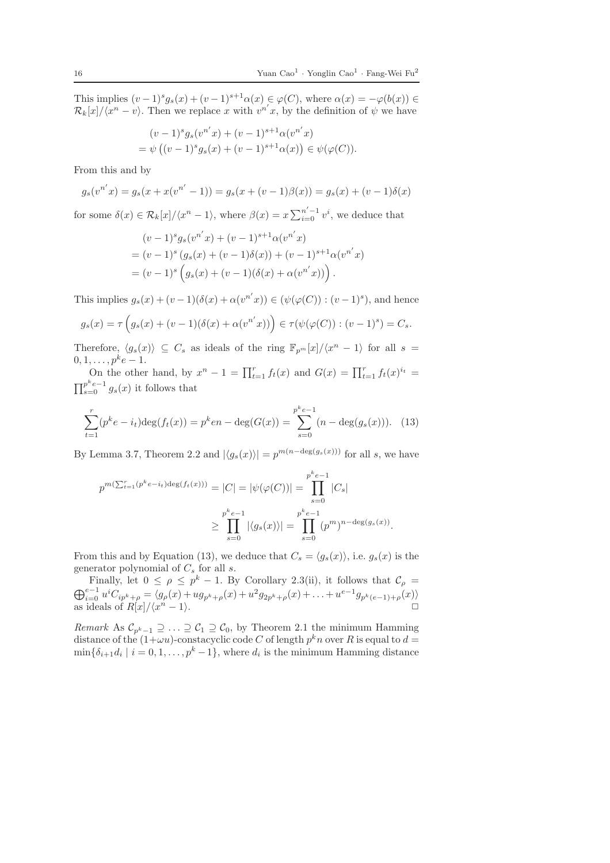This implies  $(v-1)^s g_s(x) + (v-1)^{s+1} \alpha(x) \in \varphi(C)$ , where  $\alpha(x) = -\varphi(b(x)) \in$  $\mathcal{R}_k[x]/\langle x^n - v \rangle$ . Then we replace x with  $v^{n'}x$ , by the definition of  $\psi$  we have

$$
(v-1)^{s} g_{s}(v^{n'}x) + (v-1)^{s+1} \alpha(v^{n'}x)
$$
  
=  $\psi ((v-1)^{s} g_{s}(x) + (v-1)^{s+1} \alpha(x)) \in \psi(\varphi(C)).$ 

From this and by

$$
g_s(v^{n'}x) = g_s(x + x(v^{n'} - 1)) = g_s(x + (v - 1)\beta(x)) = g_s(x) + (v - 1)\delta(x)
$$

for some  $\delta(x) \in \mathcal{R}_k[x]/\langle x^n-1 \rangle$ , where  $\beta(x) = x \sum_{i=0}^{n'-1} v^i$ , we deduce that

$$
(v-1)^{s} g_{s}(v^{n'}x) + (v-1)^{s+1} \alpha(v^{n'}x)
$$
  
=  $(v-1)^{s} (g_{s}(x) + (v-1)\delta(x)) + (v-1)^{s+1} \alpha(v^{n'}x)$   
=  $(v-1)^{s} (g_{s}(x) + (v-1)(\delta(x) + \alpha(v^{n'}x)))$ .

This implies  $g_s(x) + (v-1)(\delta(x) + \alpha(v^{n'}x)) \in (\psi(\varphi(C)) : (v-1)^s)$ , and hence

$$
g_s(x) = \tau \left( g_s(x) + (v - 1)(\delta(x) + \alpha(v^{n'}x)) \right) \in \tau(\psi(\varphi(C)) : (v - 1)^s) = C_s.
$$

Therefore,  $\langle g_s(x) \rangle \subseteq C_s$  as ideals of the ring  $\mathbb{F}_{p^m}[x]/\langle x^n-1 \rangle$  for all  $s =$  $0, 1, \ldots, p^k e-1.$ 

On the other hand, by  $x^n - 1 = \prod_{t=1}^r f_t(x)$  and  $G(x) = \prod_{t=1}^r f_t(x)^{i_t} =$  $\prod_{s=0}^{p^ke-1} g_s(x)$  it follows that

$$
\sum_{t=1}^{r} (p^k e - i_t) \deg(f_t(x)) = p^k en - \deg(G(x)) = \sum_{s=0}^{p^k e - 1} (n - \deg(g_s(x))). \quad (13)
$$

By Lemma 3.7, Theorem 2.2 and  $|\langle g_s(x) \rangle| = p^{m(n-\deg(g_s(x)))}$  for all s, we have

$$
p^{m(\sum_{t=1}^{r}(p^{k}e-i_{t})\deg(f_{t}(x)))} = |C| = |\psi(\varphi(C))| = \prod_{s=0}^{p^{k}e-1} |C_{s}|
$$
  

$$
\geq \prod_{s=0}^{p^{k}e-1} |\langle g_{s}(x)\rangle| = \prod_{s=0}^{p^{k}e-1} (p^{m})^{n-\deg(g_{s}(x))}.
$$

From this and by Equation (13), we deduce that  $C_s = \langle g_s(x) \rangle$ , i.e.  $g_s(x)$  is the generator polynomial of  $C_s$  for all s.

Finally, let  $0 \leq \rho \leq p^k - 1$ . By Corollary 2.3(ii), it follows that  $\mathcal{C}_{\rho} =$  $\bigoplus_{i=0}^{e-1} u^i C_{ip^k+\rho} = \langle g_\rho(x) + u g_{p^k+\rho}(x) + u^2 g_{2p^k+\rho}(x) + \ldots + u^{e-1} g_{p^k(e-1)+\rho}(x) \rangle$ as ideals of  $R[x]/\langle x^n - 1 \rangle$ .

*Remark* As  $C_{p^k-1} \supseteq \ldots \supseteq C_1 \supseteq C_0$ , by Theorem 2.1 the minimum Hamming distance of the  $(1+\omega u)$ -constacyclic code C of length  $p^k n$  over R is equal to  $d =$  $\min\{\delta_{i+1}d_i \mid i=0,1,\ldots,p^k-1\}$ , where  $d_i$  is the minimum Hamming distance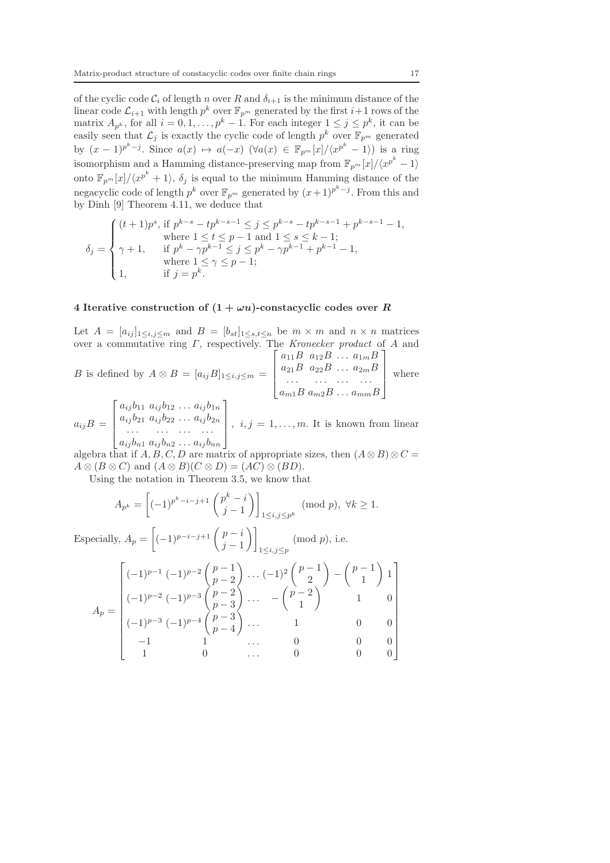of the cyclic code  $C_i$  of length n over R and  $\delta_{i+1}$  is the minimum distance of the linear code  $\mathcal{L}_{i+1}$  with length  $p^k$  over  $\mathbb{F}_{p^m}$  generated by the first  $i+1$  rows of the matrix  $A_{p^k}$ , for all  $i = 0, 1, ..., p^k - 1$ . For each integer  $1 \leq j \leq p^k$ , it can be easily seen that  $\mathcal{L}_j$  is exactly the cyclic code of length  $p^k$  over  $\mathbb{F}_{p^m}$  generated by  $(x-1)^{p^k-j}$ . Since  $a(x) \mapsto a(-x)$   $(\forall a(x) \in \mathbb{F}_{p^m}[x]/\langle x^{p^k}-1\rangle)$  is a ring isomorphism and a Hamming distance-preserving map from  $\mathbb{F}_{p^m}[x]/\langle x^{p^k}-1\rangle$ onto  $\mathbb{F}_{p^m}[x]/\langle x^{p^k}+1\rangle$ ,  $\delta_j$  is equal to the minimum Hamming distance of the negacyclic code of length  $p^k$  over  $\mathbb{F}_{p^m}$  generated by  $(x+1)^{p^k-j}$ . From this and by Dinh [9] Theorem 4.11, we deduce that

$$
\delta_j = \begin{cases}\n(t+1)p^s, & \text{if } p^{k-s} - tp^{k-s-1} \leq j \leq p^{k-s} - tp^{k-s-1} + p^{k-s-1} - 1, \\
& \text{where } 1 \leq t \leq p-1 \text{ and } 1 \leq s \leq k-1; \\
\gamma+1, & \text{if } p^k - \gamma p^{k-1} \leq j \leq p^k - \gamma p^{k-1} + p^{k-1} - 1, \\
& \text{where } 1 \leq \gamma \leq p-1; \\
1, & \text{if } j = p^k.\n\end{cases}
$$

# 4 Iterative construction of  $(1 + \omega u)$ -constacyclic codes over R

Let  $A = [a_{ij}]_{1 \le i,j \le m}$  and  $B = [b_{st}]_{1 \le s,t \le n}$  be  $m \times m$  and  $n \times n$  matrices over a commutative ring  $\Gamma$ , respectively. The Kronecker product of A and  $\Gamma$  $R$  and  $R$ 1

$$
B \text{ is defined by } A \otimes B = [a_{ij}B]_{1 \le i,j \le m} = \begin{bmatrix} a_{11}B & a_{12}B & \dots & a_{1m}B \\ a_{21}B & a_{22}B & \dots & a_{2m}B \\ \dots & \dots & \dots & \dots \\ a_{m1}B & a_{m2}B & \dots & a_{mm}B \end{bmatrix} \text{ where}
$$

$$
a_{ij}B = \begin{bmatrix} a_{ij}b_{11} & a_{ij}b_{12} & \dots & a_{ij}b_{1n} \\ a_{ij}b_{21} & a_{ij}b_{22} & \dots & a_{ij}b_{2n} \\ \dots & \dots & \dots & \dots \\ a_{ij}b_{n1} & a_{ij}b_{n2} & \dots & a_{ij}b_{nn} \end{bmatrix}, i, j = 1, \dots, m.
$$
 It is known from linear

algebra that if  $A, B, C, D$  are matrix of appropriate sizes, then  $(A \otimes B) \otimes C =$  $A \otimes (B \otimes C)$  and  $(A \otimes B)(C \otimes D) = (AC) \otimes (BD)$ .

Using the notation in Theorem 3.5, we know that

$$
A_{p^k} = \left[(-1)^{p^k - i - j + 1} \binom{p^k - i}{j - 1}\right]_{1 \le i, j \le p^k} \pmod{p}, \ \forall k \ge 1.
$$

Especially,  $A_p =$  $\left[(-1)^{p-i-j+1}\left(\begin{array}{c}p-i\\ i\end{array}\right)\right]$  $j-1$  $\setminus$  $1\leq i,j\leq p$  $(mod p), i.e.$ 

$$
A_p = \begin{bmatrix} (-1)^{p-1} (-1)^{p-2} \binom{p-1}{p-2} \cdots (-1)^2 \binom{p-1}{2} - \binom{p-1}{1} 1 \\ (-1)^{p-2} (-1)^{p-3} \binom{p-2}{p-3} \cdots - \binom{p-2}{1} & 1 & 0 \\ (-1)^{p-3} (-1)^{p-4} \binom{p-3}{p-4} \cdots & 1 & 0 & 0 \\ -1 & 1 & \cdots & 0 & 0 & 0 \\ 1 & 0 & \cdots & 0 & 0 & 0 \end{bmatrix}
$$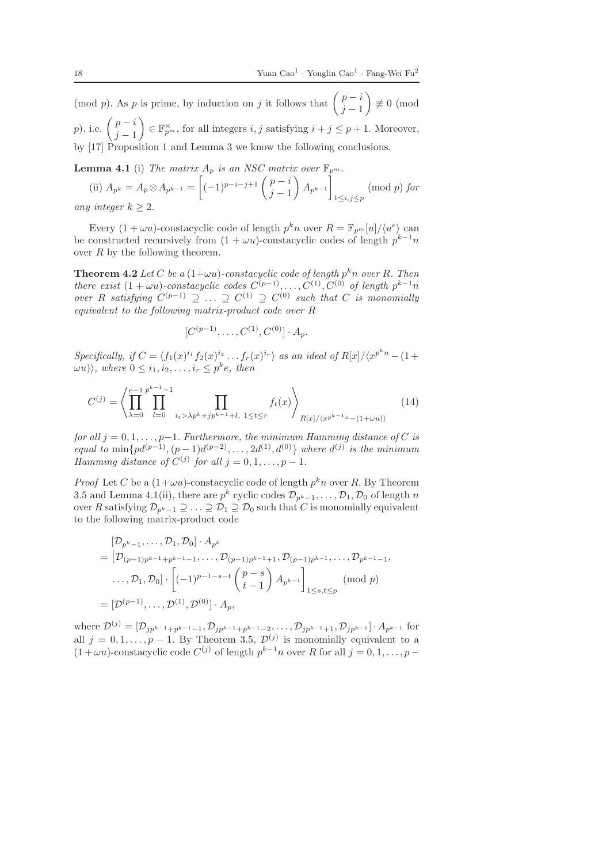(mod p). As p is prime, by induction on j it follows that  $\begin{pmatrix} p-i \\ i-1 \end{pmatrix}$  $j-1$  $\setminus$  $\not\equiv 0 \pmod{5}$  $p)$ , i.e.  $\left(\begin{array}{c} p-i\\ i\end{array}\right)$  $j-1$  $\Big\} \in \mathbb{F}_{p^m}^{\times}$ , for all integers  $i, j$  satisfying  $i + j \leq p + 1$ . Moreover, by [17] Proposition 1 and Lemma 3 we know the following conclusions.

**Lemma 4.1** (i) The matrix  $A_p$  is an NSC matrix over  $\mathbb{F}_{p^m}$ .

(ii)  $A_{p^k} = A_p \otimes A_{p^{k-1}} =$  $\int_{(-1)^{p-i-j+1}}^{1} \binom{p-i}{i}$  $j-1$  $\overline{\phantom{0}}$  $A_{p^{k-1}}$ Î  $1\leq i,j\leq p$ (mod p) for any integer  $k > 2$ .

Every  $(1 + \omega u)$ -constacyclic code of length  $p^k n$  over  $R = \mathbb{F}_{p^m}[u]/\langle u^e \rangle$  can be constructed recursively from  $(1 + \omega u)$ -constacyclic codes of length  $p^{k-1}n$ over  $R$  by the following theorem.

**Theorem 4.2** Let C be a  $(1+\omega u)$ -constacyclic code of length  $p^kn$  over R. Then there exist  $(1 + \omega u)$ -constacyclic codes  $C^{(p-1)}, \ldots, C^{(1)}, C^{(0)}$  of length  $p^{k-1}n$ over R satisfying  $C^{(p-1)} \supseteq \ldots \supseteq C^{(1)} \supseteq C^{(0)}$  such that C is monomially equivalent to the following matrix-product code over R

$$
[C^{(p-1)},\ldots,C^{(1)},C^{(0)}]\cdot A_p.
$$

Specifically, if  $C = \langle f_1(x)^{i_1} f_2(x)^{i_2} \dots f_r(x)^{i_r} \rangle$  as an ideal of  $R[x]/\langle x^{p^kn} - (1 +$  $\langle \omega u \rangle$ , where  $0 \leq i_1, i_2, \ldots, i_r \leq p^k e$ , then

$$
C^{(j)} = \left\langle \prod_{\lambda=0}^{e-1} \prod_{l=0}^{p^{k-1}-1} \prod_{i_t > \lambda p^k + j p^{k-1} + l, 1 \le t \le r} f_t(x) \right\rangle_{R[x]/\langle x^{p^{k-1}n} - (1+\omega u) \rangle} \tag{14}
$$

for all  $j = 0, 1, \ldots, p-1$ . Furthermore, the minimum Hamming distance of C is equal to  $\min\{pd^{(p-1)}, (p-1)d^{(p-2)}, \ldots, 2d^{(1)}, d^{(0)}\}$  where  $d^{(j)}$  is the minimum Hamming distance of  $C^{(j)}$  for all  $j = 0, 1, \ldots, p - 1$ .

*Proof* Let C be a  $(1 + \omega u)$ -constacyclic code of length  $p^k n$  over R. By Theorem 3.5 and Lemma 4.1(ii), there are  $p^k$  cyclic codes  $\mathcal{D}_{p^k-1}, \ldots, \mathcal{D}_1, \mathcal{D}_0$  of length n over R satisfying  $\mathcal{D}_{p^k-1} \supseteq \ldots \supseteq \mathcal{D}_1 \supseteq \mathcal{D}_0$  such that C is monomially equivalent to the following matrix-product code

$$
[\mathcal{D}_{p^{k}-1}, \dots, \mathcal{D}_{1}, \mathcal{D}_{0}] \cdot A_{p^{k}}
$$
  
=  $[\mathcal{D}_{(p-1)p^{k-1}+p^{k-1}-1}, \dots, \mathcal{D}_{(p-1)p^{k-1}+1}, \mathcal{D}_{(p-1)p^{k-1}}, \dots, \mathcal{D}_{p^{k-1}-1},$   
 $\dots, \mathcal{D}_{1}, \mathcal{D}_{0}] \cdot \left[ (-1)^{p-1-s-t} \binom{p-s}{t-1} A_{p^{k-1}} \right]_{1 \leq s, t \leq p}$  (mod  $p$ )  
=  $[\mathcal{D}^{(p-1)}, \dots, \mathcal{D}^{(1)}, \mathcal{D}^{(0)}] \cdot A_{p},$ 

where  $\mathcal{D}^{(j)} = [\mathcal{D}_{jp^{k-1}+p^{k-1}-1}, \mathcal{D}_{jp^{k-1}+p^{k-1}-2}, \dots, \mathcal{D}_{jp^{k-1}+1}, \mathcal{D}_{jp^{k-1}}] \cdot A_{p^{k-1}}$  for all  $j = 0, 1, \ldots, p - 1$ . By Theorem 3.5,  $\mathcal{D}^{(j)}$  is monomially equivalent to a  $(1 + \omega u)$ -constacyclic code  $C^{(j)}$  of length  $p^{k-1}n$  over R for all  $j = 0, 1, \ldots, p -$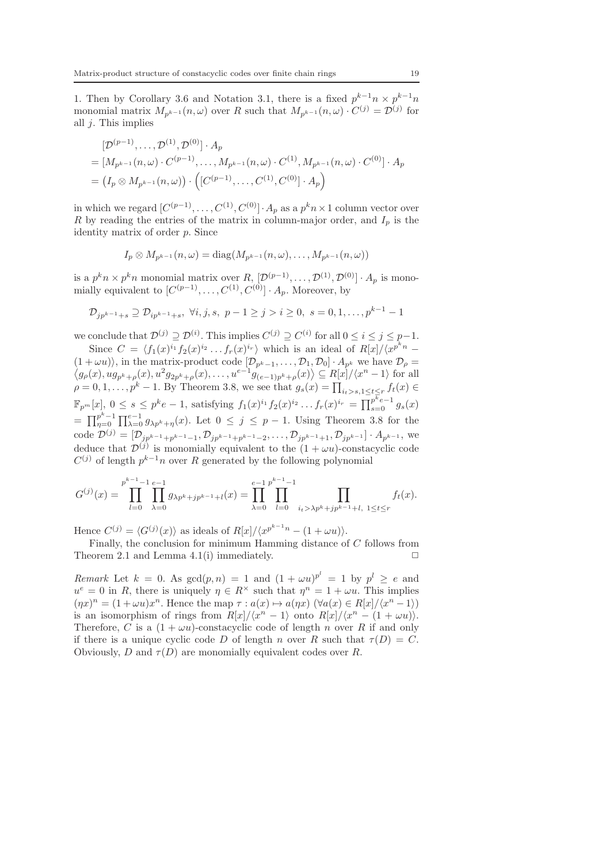1. Then by Corollary 3.6 and Notation 3.1, there is a fixed  $p^{k-1}n \times p^{k-1}n$ monomial matrix  $M_{p^{k-1}}(n,\omega)$  over R such that  $M_{p^{k-1}}(n,\omega) \cdot C^{(j)} = \mathcal{D}^{(j)}$  for all  $j$ . This implies

$$
[D^{(p-1)}, \ldots, D^{(1)}, D^{(0)}] \cdot A_p
$$
  
= 
$$
[M_{p^{k-1}}(n, \omega) \cdot C^{(p-1)}, \ldots, M_{p^{k-1}}(n, \omega) \cdot C^{(1)}, M_{p^{k-1}}(n, \omega) \cdot C^{(0)}] \cdot A_p
$$
  
= 
$$
(I_p \otimes M_{p^{k-1}}(n, \omega)) \cdot ([C^{(p-1)}, \ldots, C^{(1)}, C^{(0)}] \cdot A_p)
$$

in which we regard  $[C^{(p-1)}, \ldots, C^{(1)}, C^{(0)}] \cdot A_p$  as a  $p^k n \times 1$  column vector over R by reading the entries of the matrix in column-major order, and  $I_p$  is the identity matrix of order p. Since

$$
I_p \otimes M_{p^{k-1}}(n,\omega) = \text{diag}(M_{p^{k-1}}(n,\omega),\ldots,M_{p^{k-1}}(n,\omega))
$$

is a  $p^kn \times p^kn$  monomial matrix over  $R, [\mathcal{D}^{(p-1)}, \dots, \mathcal{D}^{(1)}, \mathcal{D}^{(0)}] \cdot A_p$  is monomially equivalent to  $[C^{(p-1)}, \ldots, C^{(1)}, C^{(0)}] \cdot A_p$ . Moreover, by

$$
\mathcal{D}_{jp^{k-1}+s} \supseteq \mathcal{D}_{ip^{k-1}+s}, \ \forall i, j, s, \ p-1 \ge j > i \ge 0, \ s = 0, 1, \dots, p^{k-1} - 1
$$

we conclude that  $\mathcal{D}^{(j)} \supseteq \mathcal{D}^{(i)}$ . This implies  $C^{(j)} \supseteq C^{(i)}$  for all  $0 \leq i \leq j \leq p-1$ .

Since  $C = \langle f_1(x)^{i_1} f_2(x)^{i_2} \dots f_r(x)^{i_r} \rangle$  which is an ideal of  $R[x]/\langle x^{p^kn} (1 + \omega u)$ , in the matrix-product code  $[\mathcal{D}_{p^k-1}, \ldots, \mathcal{D}_1, \mathcal{D}_0] \cdot A_{p^k}$  we have  $\mathcal{D}_{\rho} = \langle g_{\rho}(x), ug_{p^k+\rho}(x), u^2 g_{2p^k+\rho}(x), \ldots, u^{e-1} g_{(e-1)p^k+\rho}(x) \rangle \subseteq R[x]/\langle x^n-1 \rangle$  for all  $\rho = 0, 1, \ldots, p^k - 1$ . By Theorem 3.8, we see that  $g_s(x) = \prod_{i_t > s, 1 \le t \le r} f_t(x) \in$  $\mathbb{F}_{p^m}[x], 0 \le s \le p^k e - 1$ , satisfying  $f_1(x)^{i_1} f_2(x)^{i_2} \dots f_r(x)^{i_r} = \prod_{s=0}^{p^k e - 1} g_s(x)$  $= \prod_{n=0}^{p^k-1}$  $p^{k-1} \prod_{\substack{\gamma=0}}^{p^k-1} \prod_{\substack{\lambda=0}}^{p^k-1} g_{\lambda p^k+\eta}(x)$ . Let  $0 \leq j \leq p-1$ . Using Theorem 3.8 for the code  $\mathcal{D}^{(j)} = [\mathcal{D}_{jp^{k-1}+p^{k-1}-1}, \mathcal{D}_{jp^{k-1}+p^{k-1}-2}, \dots, \mathcal{D}_{jp^{k-1}+1}, \mathcal{D}_{jp^{k-1}}] \cdot A_{p^{k-1}},$  we deduce that  $\mathcal{D}^{(j)}$  is monomially equivalent to the  $(1 + \omega u)$ -constacyclic code  $C^{(j)}$  of length  $p^{k-1}n$  over R generated by the following polynomial

$$
G^{(j)}(x) = \prod_{l=0}^{p^{k-1}-1} \prod_{\lambda=0}^{e-1} g_{\lambda p^k+jp^{k-1}+l}(x) = \prod_{\lambda=0}^{e-1} \prod_{l=0}^{p^{k-1}-1} \prod_{i_t > \lambda p^k+jp^{k-1}+l, 1 \le t \le r} f_t(x).
$$

Hence  $C^{(j)} = \langle G^{(j)}(x) \rangle$  as ideals of  $R[x]/\langle x^{p^{k-1}n} - (1 + \omega u) \rangle$ .

Finally, the conclusion for minimum Hamming distance of C follows from Theorem 2.1 and Lemma 4.1(i) immediately.  $\square$ 

Remark Let  $k = 0$ . As  $gcd(p, n) = 1$  and  $(1 + \omega u)^{p^l} = 1$  by  $p^l \ge e$  and  $u^e = 0$  in R, there is uniquely  $\eta \in R^\times$  such that  $\eta^n = 1 + \omega u$ . This implies  $(\eta x)^n = (1 + \omega u)x^n$ . Hence the map  $\tau : a(x) \mapsto a(\eta x) \; (\forall a(x) \in R[x]/\langle x^n - 1 \rangle)$ is an isomorphism of rings from  $R[x]/\langle x^n-1\rangle$  onto  $R[x]/\langle x^n-(1+\omega u)\rangle$ . Therefore, C is a  $(1 + \omega u)$ -constacyclic code of length n over R if and only if there is a unique cyclic code D of length n over R such that  $\tau(D) = C$ . Obviously, D and  $\tau(D)$  are monomially equivalent codes over R.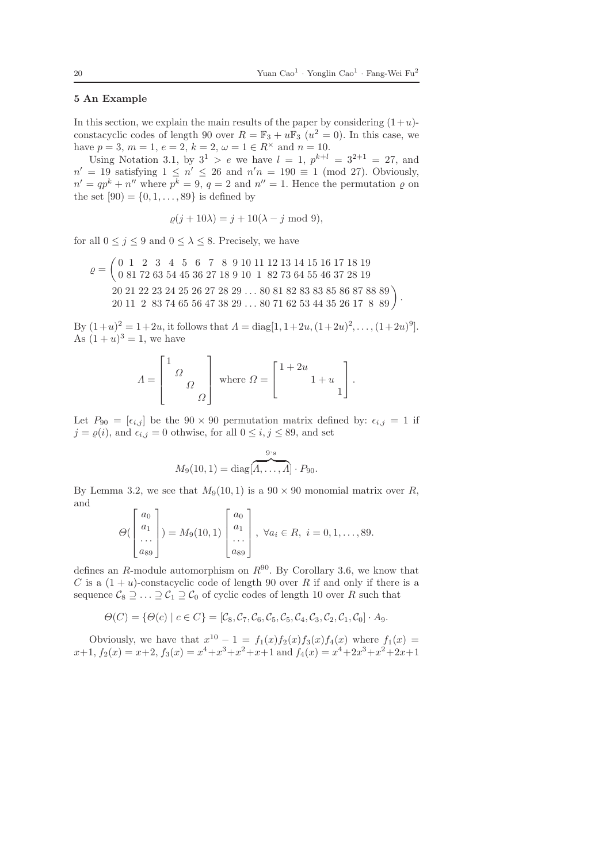## 5 An Example

In this section, we explain the main results of the paper by considering  $(1+u)$ constacyclic codes of length 90 over  $R = \mathbb{F}_3 + u\mathbb{F}_3$   $(u^2 = 0)$ . In this case, we have  $p = 3, m = 1, e = 2, k = 2, \omega = 1 \in R^{\times}$  and  $n = 10$ .

Using Notation 3.1, by  $3^1 > e$  we have  $l = 1$ ,  $p^{k+l} = 3^{2+1} = 27$ , and  $n' = 19$  satisfying  $1 \leq n' \leq 26$  and  $n'n = 190 \equiv 1 \pmod{27}$ . Obviously,  $n' = qp^k + n''$  where  $p^k = 9$ ,  $q = 2$  and  $n'' = 1$ . Hence the permutation  $\varrho$  on the set  $[90] = \{0, 1, \ldots, 89\}$  is defined by

$$
\varrho(j+10\lambda) = j + 10(\lambda - j \mod 9),
$$

for all  $0 \leq j \leq 9$  and  $0 \leq \lambda \leq 8$ . Precisely, we have

 $\varrho =$  0 1 2 3 4 5 6 7 8 9 10 11 12 13 14 15 16 17 18 19 0 81 72 63 54 45 36 27 18 9 10 1 82 73 64 55 46 37 28 19  $20\ 21\ 22\ 23\ 24\ 25\ 26\ 27\ 28\ 29\ldots\ 80\ 81\ 82\ 83\ 83\ 85\ 86\ 87\ 88\ 89\bigg\} \cdot 20\ 11\ 2\ 83\ 74\ 65\ 56\ 47\ 38\ 29\ldots\ 80\ 71\ 62\ 53\ 44\ 35\ 26\ 17\ 8\ 89\bigg\} \cdot$ 

By  $(1+u)^2 = 1+2u$ , it follows that  $\Lambda = \text{diag}[1, 1+2u, (1+2u)^2, \dots, (1+2u)^9]$ . As  $(1 + u)^3 = 1$ , we have

$$
\varLambda = \begin{bmatrix} 1 \\ & \varOmega \\ & & \varOmega \end{bmatrix} \text{ where } \varOmega = \begin{bmatrix} 1+2u \\ & 1+u \\ & & 1 \end{bmatrix}.
$$

Let  $P_{90} = [\epsilon_{i,j}]$  be the  $90 \times 90$  permutation matrix defined by:  $\epsilon_{i,j} = 1$  if  $j = \varrho(i)$ , and  $\epsilon_{i,j} = 0$  othwise, for all  $0 \leq i, j \leq 89$ , and set

$$
M_9(10,1) = \text{diag}[\overbrace{A,\ldots,A}^{9\cdot \text{s}}] \cdot P_{90}.
$$

By Lemma 3.2, we see that  $M_9(10, 1)$  is a  $90 \times 90$  monomial matrix over R, and

$$
\Theta\begin{pmatrix} a_0 \\ a_1 \\ \dots \\ a_{89} \end{pmatrix} = M_9(10, 1) \begin{bmatrix} a_0 \\ a_1 \\ \dots \\ a_{89} \end{bmatrix}, \ \forall a_i \in R, \ i = 0, 1, \dots, 89.
$$

defines an R-module automorphism on  $R^{90}$ . By Corollary 3.6, we know that C is a  $(1 + u)$ -constacyclic code of length 90 over R if and only if there is a sequence  $C_8 \supseteq \ldots \supseteq C_1 \supseteq C_0$  of cyclic codes of length 10 over R such that

$$
\Theta(C) = \{ \Theta(c) \mid c \in C \} = [\mathcal{C}_8, \mathcal{C}_7, \mathcal{C}_6, \mathcal{C}_5, \mathcal{C}_5, \mathcal{C}_4, \mathcal{C}_3, \mathcal{C}_2, \mathcal{C}_1, \mathcal{C}_0] \cdot A_9.
$$

Obviously, we have that  $x^{10} - 1 = f_1(x) f_2(x) f_3(x) f_4(x)$  where  $f_1(x) =$  $x+1$ ,  $f_2(x) = x+2$ ,  $f_3(x) = x^4+x^3+x^2+x+1$  and  $f_4(x) = x^4+2x^3+x^2+2x+1$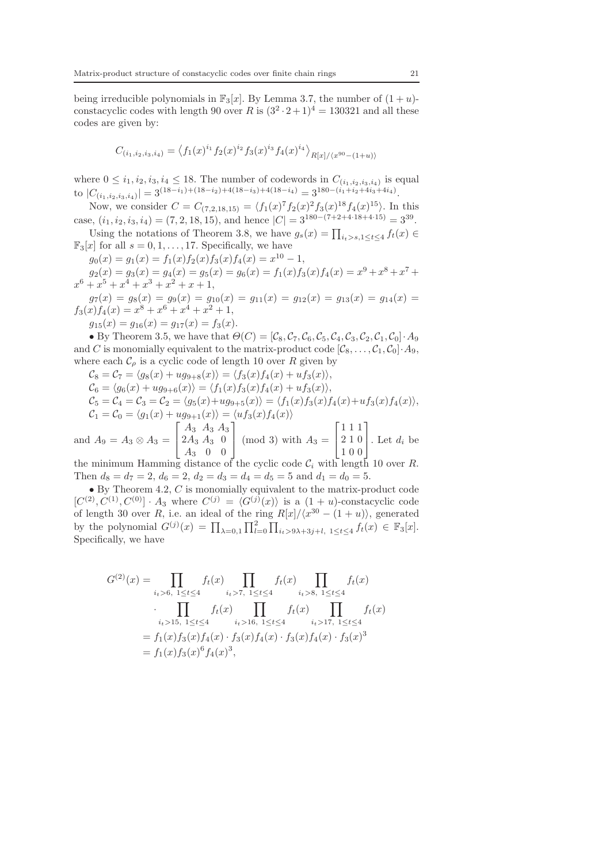being irreducible polynomials in  $\mathbb{F}_3[x]$ . By Lemma 3.7, the number of  $(1 + u)$ constacyclic codes with length 90 over R is  $(3^2 \cdot 2 + 1)^4 = 130321$  and all these codes are given by:

$$
C_{(i_1,i_2,i_3,i_4)} = \langle f_1(x)^{i_1} f_2(x)^{i_2} f_3(x)^{i_3} f_4(x)^{i_4} \rangle_{R[x]/\langle x^{90}-(1+u) \rangle}
$$

where  $0 \leq i_1, i_2, i_3, i_4 \leq 18$ . The number of codewords in  $C_{(i_1,i_2,i_3,i_4)}$  is equal to  $|C_{(i_1,i_2,i_3,i_4)}| = 3^{(18-i_1)+(18-i_2)+4(18-i_3)+4(18-i_4)} = 3^{180-(i_1+i_2+4i_3+4i_4)}.$ 

Now, we consider  $C = C_{(7,2,18,15)} = \langle f_1(x)^7 f_2(x)^2 f_3(x)^{18} f_4(x)^{15} \rangle$ . In this case,  $(i_1, i_2, i_3, i_4) = (7, 2, 18, 15)$ , and hence  $|C| = 3^{180 - (7 + 2 + 4 \cdot 18 + 4 \cdot 15)} = 3^{39}$ .

Using the notations of Theorem 3.8, we have  $g_s(x) = \prod_{i_t > s, 1 \le t \le 4} f_t(x) \in$  $\mathbb{F}_3[x]$  for all  $s = 0, 1, \ldots, 17$ . Specifically, we have

 $g_0(x) = g_1(x) = f_1(x) f_2(x) f_3(x) f_4(x) = x^{10} - 1,$ 

 $g_2(x) = g_3(x) = g_4(x) = g_5(x) = g_6(x) = f_1(x)f_3(x)f_4(x) = x^9 + x^8 + x^7 +$  $x^6 + x^5 + x^4 + x^3 + x^2 + x + 1$ ,

 $g_7(x) = g_8(x) = g_9(x) = g_{10}(x) = g_{11}(x) = g_{12}(x) = g_{13}(x) = g_{14}(x) =$  $f_3(x)f_4(x) = x^8 + x^6 + x^4 + x^2 + 1,$ 

 $g_{15}(x) = g_{16}(x) = g_{17}(x) = f_3(x).$ 

• By Theorem 3.5, we have that  $\Theta(C) = [\mathcal{C}_8, \mathcal{C}_7, \mathcal{C}_6, \mathcal{C}_5, \mathcal{C}_4, \mathcal{C}_3, \mathcal{C}_2, \mathcal{C}_1, \mathcal{C}_0] \cdot A_9$ and C is monomially equivalent to the matrix-product code  $[\mathcal{C}_8, \ldots, \mathcal{C}_1, \mathcal{C}_0] \cdot A_9$ , where each  $\mathcal{C}_{\rho}$  is a cyclic code of length 10 over R given by

$$
C_8 = C_7 = \langle g_8(x) + ug_{9+8}(x) \rangle = \langle f_3(x) f_4(x) + uf_3(x) \rangle,
$$
  
\n
$$
C_6 = \langle g_6(x) + ug_{9+6}(x) \rangle = \langle f_1(x) f_3(x) f_4(x) + uf_3(x) \rangle,
$$
  
\n
$$
C_5 = C_4 = C_3 = C_2 = \langle g_5(x) + ug_{9+5}(x) \rangle = \langle f_1(x) f_3(x) f_4(x) + uf_3(x) f_4(x) \rangle,
$$
  
\n
$$
C_1 = C_0 = \langle g_1(x) + ug_{9+1}(x) \rangle = \langle uf_3(x) f_4(x) \rangle
$$
\n[111]

and  $A_9 = A_3 \otimes A_3 =$  $\mathbf{I}$  $2A_3 A_3 0$  $A_3 \ 0 \ 0$  $\left( \mod 3 \right)$  with  $A_3 =$  $\mathbf{I}$ 2 1 0 1 0 0 . Let  $d_i$  be the minimum Hamming distance of the cyclic code  $\mathcal{C}_i$  with length 10 over R.

Then  $d_8 = d_7 = 2$ ,  $d_6 = 2$ ,  $d_2 = d_3 = d_4 = d_5 = 5$  and  $d_1 = d_0 = 5$ .

 $\bullet$  By Theorem 4.2,  $C$  is monomially equivalent to the matrix-product code  $[C^{(2)}, C^{(1)}, C^{(0)}] \cdot A_3$  where  $C^{(j)} = \langle G^{(j)}(x) \rangle$  is a  $(1 + u)$ -constacyclic code of length 30 over R, i.e. an ideal of the ring  $R[x]/\langle x^{30} - (1 + u) \rangle$ , generated by the polynomial  $G^{(j)}(x) = \prod_{\lambda=0,1} \prod_{l=0}^2 \prod_{i_t>9\lambda+3j+l, 1 \le t \le 4} f_t(x) \in \mathbb{F}_3[x]$ . Specifically, we have

$$
G^{(2)}(x) = \prod_{i_t>6, 1 \le t \le 4} f_t(x) \prod_{i_t>7, 1 \le t \le 4} f_t(x) \prod_{i_t>8, 1 \le t \le 4} f_t(x)
$$
  

$$
\cdot \prod_{i_t>15, 1 \le t \le 4} f_t(x) \prod_{i_t>16, 1 \le t \le 4} f_t(x) \prod_{i_t>17, 1 \le t \le 4} f_t(x)
$$
  

$$
= f_1(x) f_3(x) f_4(x) \cdot f_3(x) f_4(x) \cdot f_3(x) f_4(x) \cdot f_3(x)
$$
  

$$
= f_1(x) f_3(x)^6 f_4(x)^3,
$$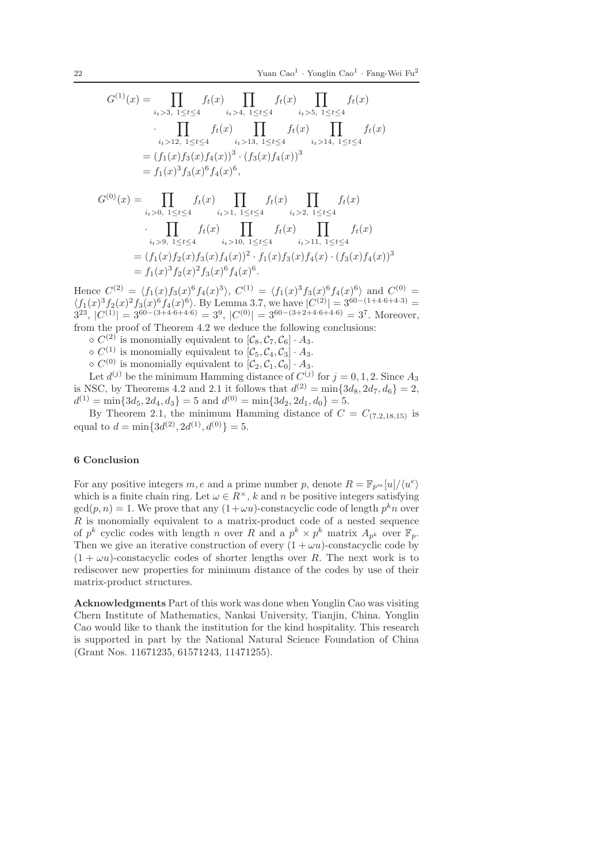$$
G^{(1)}(x) = \prod_{i_t > 3, 1 \le t \le 4} f_t(x) \prod_{i_t > 4, 1 \le t \le 4} f_t(x) \prod_{i_t > 5, 1 \le t \le 4} f_t(x)
$$
  
\n
$$
\cdot \prod_{i_t > 12, 1 \le t \le 4} f_t(x) \prod_{i_t > 13, 1 \le t \le 4} f_t(x) \prod_{i_t > 14, 1 \le t \le 4} f_t(x)
$$
  
\n
$$
= (f_1(x)f_3(x)f_4(x))^3 \cdot (f_3(x)f_4(x))^3
$$
  
\n
$$
= f_1(x)^3 f_3(x)^6 f_4(x)^6,
$$
  
\n
$$
G^{(0)}(x) = \prod_{i_t > 0, 1 \le t \le 4} f_t(x) \prod_{i_t > 1, 1 \le t \le 4} f_t(x) \prod_{i_t > 2, 1 \le t \le 4} f_t(x)
$$
  
\n
$$
\cdot \prod_{i_t > 9, 1 \le t \le 4} f_t(x) \prod_{i_t > 10, 1 \le t \le 4} f_t(x) \prod_{i_t > 11, 1 \le t \le 4} f_t(x)
$$
  
\n
$$
= (f_1(x)f_2(x)f_3(x)f_4(x))^2 \cdot f_1(x)f_3(x)f_4(x) \cdot (f_3(x)f_4(x))^3
$$
  
\n
$$
= f_1(x)^3 f_2(x)^2 f_3(x)^6 f_4(x)^6.
$$

Hence  $C^{(2)} = \langle f_1(x)f_3(x)^6 f_4(x)^3 \rangle$ ,  $C^{(1)} = \langle f_1(x)^3 f_3(x)^6 f_4(x)^6 \rangle$  and  $C^{(0)} =$  $\langle f_1(x)^3 f_2(x)^2 f_3(x)^6 f_4(x)^6 \rangle$ . By Lemma 3.7, we have  $|C^{(2)}| = 3^{60 - (1 + 4 \cdot 6 + 4 \cdot 3)}$  $3^{23}, |C^{(1)}| = 3^{60 - (3+4\cdot 6+4\cdot 6)} = 3^9, |C^{(0)}| = 3^{60 - (3+2+4\cdot 6+4\cdot 6)} = 3^7.$  Moreover, from the proof of Theorem 4.2 we deduce the following conclusions:

 $\diamond C^{(2)}$  is monomially equivalent to  $[\mathcal{C}_8, \mathcal{C}_7, \mathcal{C}_6] \cdot A_3$ .

 $\diamond C^{(1)}$  is monomially equivalent to  $[\mathcal{C}_5, \mathcal{C}_4, \mathcal{C}_3] \cdot A_3$ .

 $\diamond C^{(0)}$  is monomially equivalent to  $[\mathcal{C}_2, \mathcal{C}_1, \mathcal{C}_0] \cdot A_3$ .

Let  $d^{(j)}$  be the minimum Hamming distance of  $C^{(j)}$  for  $j = 0, 1, 2$ . Since  $A_3$ is NSC, by Theorems 4.2 and 2.1 it follows that  $d^{(2)} = \min\{3d_8, 2d_7, d_6\} = 2$ ,  $d^{(1)} = \min\{3d_5, 2d_4, d_3\} = 5$  and  $d^{(0)} = \min\{3d_2, 2d_1, d_0\} = 5$ .

By Theorem 2.1, the minimum Hamming distance of  $C = C_{(7,2,18,15)}$  is equal to  $d = \min\{3d^{(2)}, 2d^{(1)}, d^{(0)}\} = 5.$ 

### 6 Conclusion

For any positive integers  $m, e$  and a prime number p, denote  $R = \mathbb{F}_{p^m}[u]/\langle u^e \rangle$ which is a finite chain ring. Let  $\omega \in R^{\times}$ , k and n be positive integers satisfying  $gcd(p, n) = 1$ . We prove that any  $(1 + \omega u)$ -constacyclic code of length  $p^k n$  over  $R$  is monomially equivalent to a matrix-product code of a nested sequence of  $p^k$  cyclic codes with length n over R and a  $p^k \times p^k$  matrix  $A_{p^k}$  over  $\mathbb{F}_p$ . Then we give an iterative construction of every  $(1 + \omega u)$ -constacyclic code by  $(1 + \omega u)$ -constacyclic codes of shorter lengths over R. The next work is to rediscover new properties for minimum distance of the codes by use of their matrix-product structures.

Acknowledgments Part of this work was done when Yonglin Cao was visiting Chern Institute of Mathematics, Nankai University, Tianjin, China. Yonglin Cao would like to thank the institution for the kind hospitality. This research is supported in part by the National Natural Science Foundation of China (Grant Nos. 11671235, 61571243, 11471255).